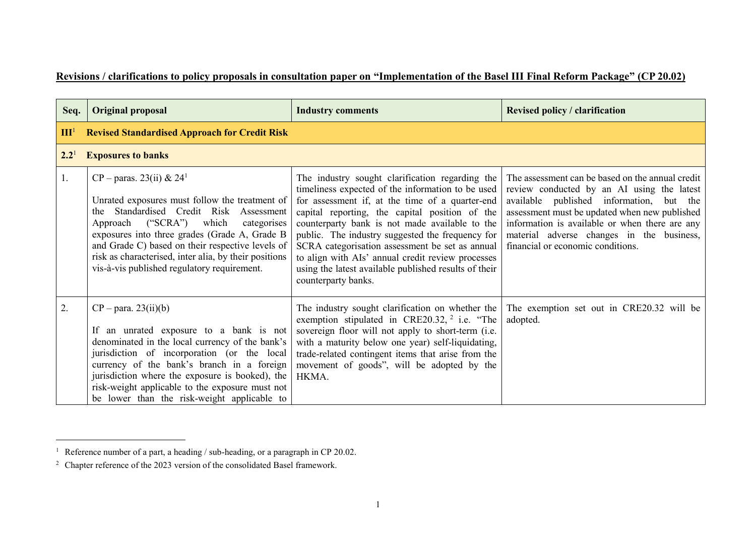## **Revisions / clarifications to policy proposals in consultation paper on "Implementation of the Basel III Final Reform Package" (CP 20.02)**

| Seq.             | <b>Original proposal</b>                                                                                                                                                                                                                                                                                                                                                                     | <b>Industry comments</b>                                                                                                                                                                                                                                                                                                                                                                                                                                                                                | <b>Revised policy / clarification</b>                                                                                                                                                                                                                                                                                           |
|------------------|----------------------------------------------------------------------------------------------------------------------------------------------------------------------------------------------------------------------------------------------------------------------------------------------------------------------------------------------------------------------------------------------|---------------------------------------------------------------------------------------------------------------------------------------------------------------------------------------------------------------------------------------------------------------------------------------------------------------------------------------------------------------------------------------------------------------------------------------------------------------------------------------------------------|---------------------------------------------------------------------------------------------------------------------------------------------------------------------------------------------------------------------------------------------------------------------------------------------------------------------------------|
| III <sup>1</sup> | <b>Revised Standardised Approach for Credit Risk</b>                                                                                                                                                                                                                                                                                                                                         |                                                                                                                                                                                                                                                                                                                                                                                                                                                                                                         |                                                                                                                                                                                                                                                                                                                                 |
| $2.2^{1}$        | <b>Exposures to banks</b>                                                                                                                                                                                                                                                                                                                                                                    |                                                                                                                                                                                                                                                                                                                                                                                                                                                                                                         |                                                                                                                                                                                                                                                                                                                                 |
| 1.               | $CP - \text{paras. } 23(ii) \& 24^1$<br>Unrated exposures must follow the treatment of<br>Standardised Credit Risk Assessment<br>the.<br>Approach ("SCRA") which<br>categorises<br>exposures into three grades (Grade A, Grade B<br>and Grade C) based on their respective levels of<br>risk as characterised, inter alia, by their positions<br>vis-à-vis published regulatory requirement. | The industry sought clarification regarding the<br>timeliness expected of the information to be used<br>for assessment if, at the time of a quarter-end<br>capital reporting, the capital position of the<br>counterparty bank is not made available to the<br>public. The industry suggested the frequency for<br>SCRA categorisation assessment be set as annual<br>to align with AIs' annual credit review processes<br>using the latest available published results of their<br>counterparty banks. | The assessment can be based on the annual credit<br>review conducted by an AI using the latest<br>available published information, but the<br>assessment must be updated when new published<br>information is available or when there are any<br>material adverse changes in the business,<br>financial or economic conditions. |
| 2.               | $CP - para. 23(ii)(b)$<br>If an unrated exposure to a bank is not<br>denominated in the local currency of the bank's<br>jurisdiction of incorporation (or the local<br>currency of the bank's branch in a foreign<br>jurisdiction where the exposure is booked), the<br>risk-weight applicable to the exposure must not<br>be lower than the risk-weight applicable to                       | The industry sought clarification on whether the<br>exemption stipulated in CRE20.32, $2$ i.e. "The<br>sovereign floor will not apply to short-term (i.e.<br>with a maturity below one year) self-liquidating,<br>trade-related contingent items that arise from the<br>movement of goods", will be adopted by the<br>HKMA.                                                                                                                                                                             | The exemption set out in CRE20.32 will be<br>adopted.                                                                                                                                                                                                                                                                           |

l

<sup>&</sup>lt;sup>1</sup> Reference number of a part, a heading / sub-heading, or a paragraph in CP 20.02.

 $2$  Chapter reference of the 2023 version of the consolidated Basel framework.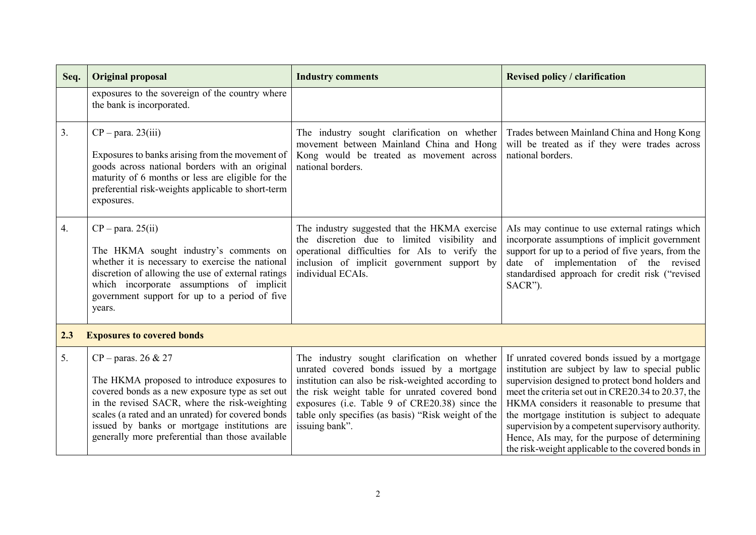| Seq. | <b>Original proposal</b>                                                                                                                                                                                                                                                                                                                   | <b>Industry comments</b>                                                                                                                                                                                                                                                                                                      | <b>Revised policy / clarification</b>                                                                                                                                                                                                                                                                                                                                                                                                                                        |
|------|--------------------------------------------------------------------------------------------------------------------------------------------------------------------------------------------------------------------------------------------------------------------------------------------------------------------------------------------|-------------------------------------------------------------------------------------------------------------------------------------------------------------------------------------------------------------------------------------------------------------------------------------------------------------------------------|------------------------------------------------------------------------------------------------------------------------------------------------------------------------------------------------------------------------------------------------------------------------------------------------------------------------------------------------------------------------------------------------------------------------------------------------------------------------------|
|      | exposures to the sovereign of the country where<br>the bank is incorporated.                                                                                                                                                                                                                                                               |                                                                                                                                                                                                                                                                                                                               |                                                                                                                                                                                                                                                                                                                                                                                                                                                                              |
| 3.   | $CP - para. 23(iii)$<br>Exposures to banks arising from the movement of<br>goods across national borders with an original<br>maturity of 6 months or less are eligible for the<br>preferential risk-weights applicable to short-term<br>exposures.                                                                                         | The industry sought clarification on whether<br>movement between Mainland China and Hong<br>Kong would be treated as movement across<br>national borders.                                                                                                                                                                     | Trades between Mainland China and Hong Kong<br>will be treated as if they were trades across<br>national borders.                                                                                                                                                                                                                                                                                                                                                            |
| 4.   | $CP$ – para. 25(ii)<br>The HKMA sought industry's comments on<br>whether it is necessary to exercise the national<br>discretion of allowing the use of external ratings<br>which incorporate assumptions of implicit<br>government support for up to a period of five<br>years.                                                            | The industry suggested that the HKMA exercise<br>the discretion due to limited visibility and<br>operational difficulties for AIs to verify the<br>inclusion of implicit government support by<br>individual ECAIs.                                                                                                           | Als may continue to use external ratings which<br>incorporate assumptions of implicit government<br>support for up to a period of five years, from the<br>date of implementation of the revised<br>standardised approach for credit risk ("revised<br>SACR").                                                                                                                                                                                                                |
| 2.3  | <b>Exposures to covered bonds</b>                                                                                                                                                                                                                                                                                                          |                                                                                                                                                                                                                                                                                                                               |                                                                                                                                                                                                                                                                                                                                                                                                                                                                              |
| 5.   | $CP - \text{paras. } 26 \& 27$<br>The HKMA proposed to introduce exposures to<br>covered bonds as a new exposure type as set out<br>in the revised SACR, where the risk-weighting<br>scales (a rated and an unrated) for covered bonds<br>issued by banks or mortgage institutions are<br>generally more preferential than those available | The industry sought clarification on whether<br>unrated covered bonds issued by a mortgage<br>institution can also be risk-weighted according to<br>the risk weight table for unrated covered bond<br>exposures (i.e. Table 9 of CRE20.38) since the<br>table only specifies (as basis) "Risk weight of the<br>issuing bank". | If unrated covered bonds issued by a mortgage<br>institution are subject by law to special public<br>supervision designed to protect bond holders and<br>meet the criteria set out in CRE20.34 to 20.37, the<br>HKMA considers it reasonable to presume that<br>the mortgage institution is subject to adequate<br>supervision by a competent supervisory authority.<br>Hence, AIs may, for the purpose of determining<br>the risk-weight applicable to the covered bonds in |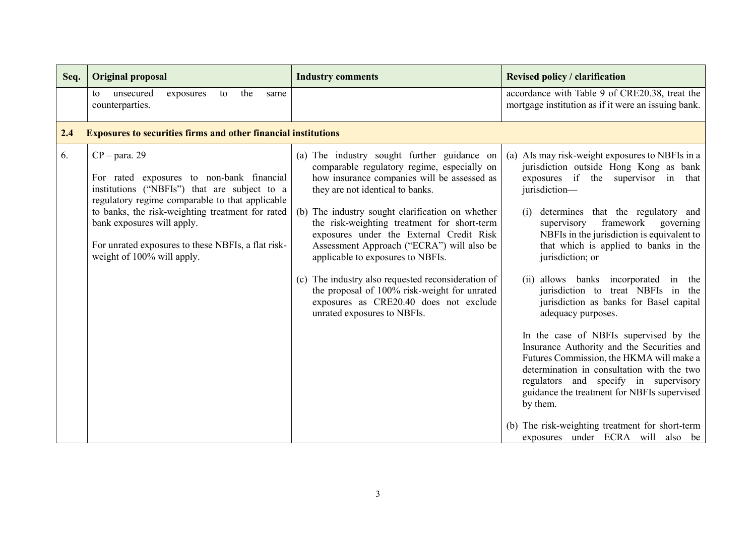| Seq. | <b>Original proposal</b>                                                                                                                                                                                                                                                                                                              | <b>Industry comments</b>                                                                                                                                                                                                                                                                                                                                                                                                                                                                                                                                                                      | <b>Revised policy / clarification</b>                                                                                                                                                                                                                                                                                                                                                                                                                                                                                                                                                                                                                                                                                                                                                                                                       |
|------|---------------------------------------------------------------------------------------------------------------------------------------------------------------------------------------------------------------------------------------------------------------------------------------------------------------------------------------|-----------------------------------------------------------------------------------------------------------------------------------------------------------------------------------------------------------------------------------------------------------------------------------------------------------------------------------------------------------------------------------------------------------------------------------------------------------------------------------------------------------------------------------------------------------------------------------------------|---------------------------------------------------------------------------------------------------------------------------------------------------------------------------------------------------------------------------------------------------------------------------------------------------------------------------------------------------------------------------------------------------------------------------------------------------------------------------------------------------------------------------------------------------------------------------------------------------------------------------------------------------------------------------------------------------------------------------------------------------------------------------------------------------------------------------------------------|
|      | unsecured<br>the<br>exposures<br>to<br>to<br>same<br>counterparties.                                                                                                                                                                                                                                                                  |                                                                                                                                                                                                                                                                                                                                                                                                                                                                                                                                                                                               | accordance with Table 9 of CRE20.38, treat the<br>mortgage institution as if it were an issuing bank.                                                                                                                                                                                                                                                                                                                                                                                                                                                                                                                                                                                                                                                                                                                                       |
| 2.4  | <b>Exposures to securities firms and other financial institutions</b>                                                                                                                                                                                                                                                                 |                                                                                                                                                                                                                                                                                                                                                                                                                                                                                                                                                                                               |                                                                                                                                                                                                                                                                                                                                                                                                                                                                                                                                                                                                                                                                                                                                                                                                                                             |
| 6.   | $CP - para. 29$<br>For rated exposures to non-bank financial<br>institutions ("NBFIs") that are subject to a<br>regulatory regime comparable to that applicable<br>to banks, the risk-weighting treatment for rated<br>bank exposures will apply.<br>For unrated exposures to these NBFIs, a flat risk-<br>weight of 100% will apply. | (a) The industry sought further guidance on<br>comparable regulatory regime, especially on<br>how insurance companies will be assessed as<br>they are not identical to banks.<br>(b) The industry sought clarification on whether<br>the risk-weighting treatment for short-term<br>exposures under the External Credit Risk<br>Assessment Approach ("ECRA") will also be<br>applicable to exposures to NBFIs.<br>(c) The industry also requested reconsideration of<br>the proposal of 100% risk-weight for unrated<br>exposures as CRE20.40 does not exclude<br>unrated exposures to NBFIs. | (a) AIs may risk-weight exposures to NBFIs in a<br>jurisdiction outside Hong Kong as bank<br>exposures if the supervisor in that<br>jurisdiction-<br>determines that the regulatory and<br>(i)<br>framework<br>supervisory<br>governing<br>NBFIs in the jurisdiction is equivalent to<br>that which is applied to banks in the<br>jurisdiction; or<br>(ii) allows banks incorporated in the<br>jurisdiction to treat NBFIs in the<br>jurisdiction as banks for Basel capital<br>adequacy purposes.<br>In the case of NBFIs supervised by the<br>Insurance Authority and the Securities and<br>Futures Commission, the HKMA will make a<br>determination in consultation with the two<br>regulators and specify in supervisory<br>guidance the treatment for NBFIs supervised<br>by them.<br>(b) The risk-weighting treatment for short-term |
|      |                                                                                                                                                                                                                                                                                                                                       |                                                                                                                                                                                                                                                                                                                                                                                                                                                                                                                                                                                               | exposures under ECRA will also be                                                                                                                                                                                                                                                                                                                                                                                                                                                                                                                                                                                                                                                                                                                                                                                                           |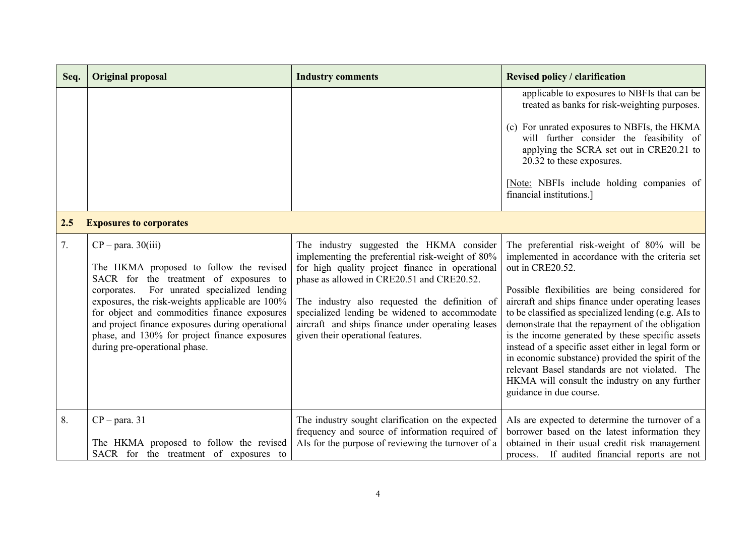| Seq. | <b>Original proposal</b>                                                                                                                                                                                                                                                                                                                                                                             | <b>Industry comments</b>                                                                                                                                                                                                                                                                                                                                                                  | <b>Revised policy / clarification</b>                                                                                                                                                                                                                                                                                                                                                                                                                                                                                                                                                                                                |
|------|------------------------------------------------------------------------------------------------------------------------------------------------------------------------------------------------------------------------------------------------------------------------------------------------------------------------------------------------------------------------------------------------------|-------------------------------------------------------------------------------------------------------------------------------------------------------------------------------------------------------------------------------------------------------------------------------------------------------------------------------------------------------------------------------------------|--------------------------------------------------------------------------------------------------------------------------------------------------------------------------------------------------------------------------------------------------------------------------------------------------------------------------------------------------------------------------------------------------------------------------------------------------------------------------------------------------------------------------------------------------------------------------------------------------------------------------------------|
|      |                                                                                                                                                                                                                                                                                                                                                                                                      |                                                                                                                                                                                                                                                                                                                                                                                           | applicable to exposures to NBFIs that can be<br>treated as banks for risk-weighting purposes.<br>(c) For unrated exposures to NBFIs, the HKMA<br>will further consider the feasibility of<br>applying the SCRA set out in CRE20.21 to<br>20.32 to these exposures.<br>[Note: NBFIs include holding companies of<br>financial institutions.]                                                                                                                                                                                                                                                                                          |
| 2.5  | <b>Exposures to corporates</b>                                                                                                                                                                                                                                                                                                                                                                       |                                                                                                                                                                                                                                                                                                                                                                                           |                                                                                                                                                                                                                                                                                                                                                                                                                                                                                                                                                                                                                                      |
| 7.   | $CP - para. 30(iii)$<br>The HKMA proposed to follow the revised<br>SACR for the treatment of exposures to<br>For unrated specialized lending<br>corporates.<br>exposures, the risk-weights applicable are 100%<br>for object and commodities finance exposures<br>and project finance exposures during operational<br>phase, and 130% for project finance exposures<br>during pre-operational phase. | The industry suggested the HKMA consider<br>implementing the preferential risk-weight of 80%<br>for high quality project finance in operational<br>phase as allowed in CRE20.51 and CRE20.52.<br>The industry also requested the definition of<br>specialized lending be widened to accommodate<br>aircraft and ships finance under operating leases<br>given their operational features. | The preferential risk-weight of 80% will be<br>implemented in accordance with the criteria set<br>out in CRE20.52.<br>Possible flexibilities are being considered for<br>aircraft and ships finance under operating leases<br>to be classified as specialized lending (e.g. AIs to<br>demonstrate that the repayment of the obligation<br>is the income generated by these specific assets<br>instead of a specific asset either in legal form or<br>in economic substance) provided the spirit of the<br>relevant Basel standards are not violated. The<br>HKMA will consult the industry on any further<br>guidance in due course. |
| 8.   | $CP - para. 31$<br>The HKMA proposed to follow the revised<br>SACR for the treatment of exposures to                                                                                                                                                                                                                                                                                                 | The industry sought clarification on the expected<br>frequency and source of information required of<br>Als for the purpose of reviewing the turnover of a                                                                                                                                                                                                                                | AIs are expected to determine the turnover of a<br>borrower based on the latest information they<br>obtained in their usual credit risk management<br>process. If audited financial reports are not                                                                                                                                                                                                                                                                                                                                                                                                                                  |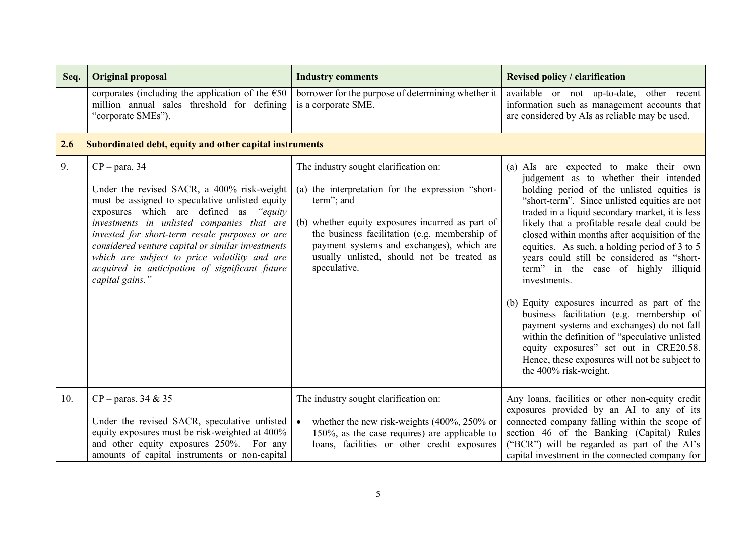| Seq. | <b>Original proposal</b>                                                                                                                                                                                                                                                                                                                                                                                                              | <b>Industry comments</b>                                                                                                                                                                                                                                                                                                 | <b>Revised policy / clarification</b>                                                                                                                                                                                                                                                                                                                                                                                                                                                                                                                                                                                                                                                                                                                                                                        |
|------|---------------------------------------------------------------------------------------------------------------------------------------------------------------------------------------------------------------------------------------------------------------------------------------------------------------------------------------------------------------------------------------------------------------------------------------|--------------------------------------------------------------------------------------------------------------------------------------------------------------------------------------------------------------------------------------------------------------------------------------------------------------------------|--------------------------------------------------------------------------------------------------------------------------------------------------------------------------------------------------------------------------------------------------------------------------------------------------------------------------------------------------------------------------------------------------------------------------------------------------------------------------------------------------------------------------------------------------------------------------------------------------------------------------------------------------------------------------------------------------------------------------------------------------------------------------------------------------------------|
|      | corporates (including the application of the $\epsilon$ 50<br>million annual sales threshold for defining<br>"corporate SMEs").                                                                                                                                                                                                                                                                                                       | borrower for the purpose of determining whether it<br>is a corporate SME.                                                                                                                                                                                                                                                | available or not up-to-date, other recent<br>information such as management accounts that<br>are considered by AIs as reliable may be used.                                                                                                                                                                                                                                                                                                                                                                                                                                                                                                                                                                                                                                                                  |
| 2.6  | Subordinated debt, equity and other capital instruments                                                                                                                                                                                                                                                                                                                                                                               |                                                                                                                                                                                                                                                                                                                          |                                                                                                                                                                                                                                                                                                                                                                                                                                                                                                                                                                                                                                                                                                                                                                                                              |
| 9.   | $CP - para. 34$<br>Under the revised SACR, a 400% risk-weight<br>must be assigned to speculative unlisted equity<br>exposures which are defined as "equity<br>investments in unlisted companies that are<br>invested for short-term resale purposes or are<br>considered venture capital or similar investments<br>which are subject to price volatility and are<br>acquired in anticipation of significant future<br>capital gains." | The industry sought clarification on:<br>(a) the interpretation for the expression "short-<br>term"; and<br>(b) whether equity exposures incurred as part of<br>the business facilitation (e.g. membership of<br>payment systems and exchanges), which are<br>usually unlisted, should not be treated as<br>speculative. | (a) AIs are expected to make their own<br>judgement as to whether their intended<br>holding period of the unlisted equities is<br>"short-term". Since unlisted equities are not<br>traded in a liquid secondary market, it is less<br>likely that a profitable resale deal could be<br>closed within months after acquisition of the<br>equities. As such, a holding period of 3 to 5<br>years could still be considered as "short-<br>term" in the case of highly illiquid<br>investments.<br>(b) Equity exposures incurred as part of the<br>business facilitation (e.g. membership of<br>payment systems and exchanges) do not fall<br>within the definition of "speculative unlisted<br>equity exposures" set out in CRE20.58.<br>Hence, these exposures will not be subject to<br>the 400% risk-weight. |
| 10.  | $CP$ – paras. 34 & 35<br>Under the revised SACR, speculative unlisted<br>equity exposures must be risk-weighted at 400%<br>and other equity exposures 250%. For any<br>amounts of capital instruments or non-capital                                                                                                                                                                                                                  | The industry sought clarification on:<br>whether the new risk-weights $(400\%, 250\% \text{ or }$<br>$\bullet$<br>150%, as the case requires) are applicable to<br>loans, facilities or other credit exposures                                                                                                           | Any loans, facilities or other non-equity credit<br>exposures provided by an AI to any of its<br>connected company falling within the scope of<br>section 46 of the Banking (Capital) Rules<br>("BCR") will be regarded as part of the AI's<br>capital investment in the connected company for                                                                                                                                                                                                                                                                                                                                                                                                                                                                                                               |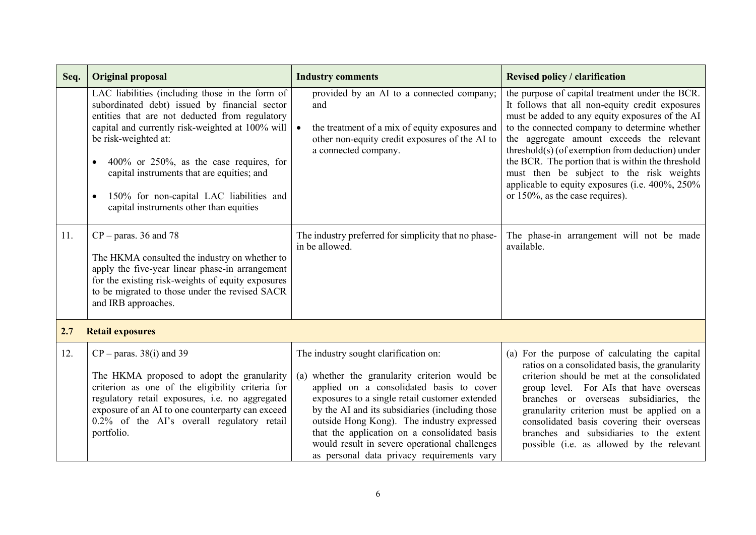| Seq. | <b>Original proposal</b>                                                                                                                                                                                                                                                                                                                                                                                                                        | <b>Industry comments</b>                                                                                                                                                                                                                                                                                                                                                                                                              | <b>Revised policy / clarification</b>                                                                                                                                                                                                                                                                                                                                                                                                                                                          |
|------|-------------------------------------------------------------------------------------------------------------------------------------------------------------------------------------------------------------------------------------------------------------------------------------------------------------------------------------------------------------------------------------------------------------------------------------------------|---------------------------------------------------------------------------------------------------------------------------------------------------------------------------------------------------------------------------------------------------------------------------------------------------------------------------------------------------------------------------------------------------------------------------------------|------------------------------------------------------------------------------------------------------------------------------------------------------------------------------------------------------------------------------------------------------------------------------------------------------------------------------------------------------------------------------------------------------------------------------------------------------------------------------------------------|
|      | LAC liabilities (including those in the form of<br>subordinated debt) issued by financial sector<br>entities that are not deducted from regulatory<br>capital and currently risk-weighted at 100% will<br>be risk-weighted at:<br>$400\%$ or $250\%$ , as the case requires, for<br>$\bullet$<br>capital instruments that are equities; and<br>150% for non-capital LAC liabilities and<br>$\bullet$<br>capital instruments other than equities | provided by an AI to a connected company;<br>and<br>the treatment of a mix of equity exposures and<br>$\bullet$<br>other non-equity credit exposures of the AI to<br>a connected company.                                                                                                                                                                                                                                             | the purpose of capital treatment under the BCR.<br>It follows that all non-equity credit exposures<br>must be added to any equity exposures of the AI<br>to the connected company to determine whether<br>the aggregate amount exceeds the relevant<br>threshold(s) (of exemption from deduction) under<br>the BCR. The portion that is within the threshold<br>must then be subject to the risk weights<br>applicable to equity exposures (i.e. 400%, 250%<br>or 150%, as the case requires). |
| 11.  | $CP - \text{paras.} 36$ and 78<br>The HKMA consulted the industry on whether to<br>apply the five-year linear phase-in arrangement<br>for the existing risk-weights of equity exposures<br>to be migrated to those under the revised SACR<br>and IRB approaches.                                                                                                                                                                                | The industry preferred for simplicity that no phase-<br>in be allowed.                                                                                                                                                                                                                                                                                                                                                                | The phase-in arrangement will not be made<br>available.                                                                                                                                                                                                                                                                                                                                                                                                                                        |
| 2.7  | <b>Retail exposures</b>                                                                                                                                                                                                                                                                                                                                                                                                                         |                                                                                                                                                                                                                                                                                                                                                                                                                                       |                                                                                                                                                                                                                                                                                                                                                                                                                                                                                                |
| 12.  | $CP$ – paras. 38(i) and 39<br>The HKMA proposed to adopt the granularity<br>criterion as one of the eligibility criteria for<br>regulatory retail exposures, i.e. no aggregated<br>exposure of an AI to one counterparty can exceed<br>0.2% of the AI's overall regulatory retail<br>portfolio.                                                                                                                                                 | The industry sought clarification on:<br>(a) whether the granularity criterion would be<br>applied on a consolidated basis to cover<br>exposures to a single retail customer extended<br>by the AI and its subsidiaries (including those<br>outside Hong Kong). The industry expressed<br>that the application on a consolidated basis<br>would result in severe operational challenges<br>as personal data privacy requirements vary | (a) For the purpose of calculating the capital<br>ratios on a consolidated basis, the granularity<br>criterion should be met at the consolidated<br>group level. For AIs that have overseas<br>branches or overseas subsidiaries, the<br>granularity criterion must be applied on a<br>consolidated basis covering their overseas<br>branches and subsidiaries to the extent<br>possible (i.e. as allowed by the relevant                                                                      |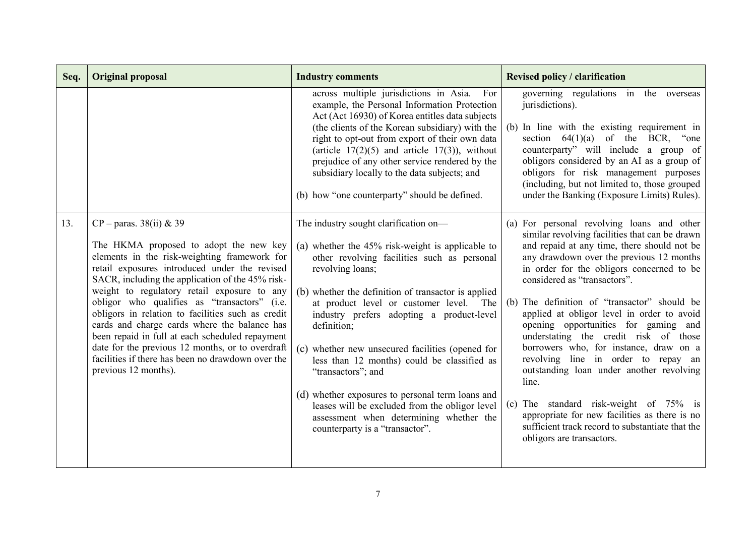| Seq. | <b>Original proposal</b>                                                                                                                                                                                                                                                                                                                                                                                                                                                                                                                                                                                         | <b>Industry comments</b>                                                                                                                                                                                                                                                                                                                                                                                                                                                                                                                                                                                                                      | <b>Revised policy / clarification</b>                                                                                                                                                                                                                                                                                                                                                                                                                                                                                                                                                                                                                                                                                                                                    |
|------|------------------------------------------------------------------------------------------------------------------------------------------------------------------------------------------------------------------------------------------------------------------------------------------------------------------------------------------------------------------------------------------------------------------------------------------------------------------------------------------------------------------------------------------------------------------------------------------------------------------|-----------------------------------------------------------------------------------------------------------------------------------------------------------------------------------------------------------------------------------------------------------------------------------------------------------------------------------------------------------------------------------------------------------------------------------------------------------------------------------------------------------------------------------------------------------------------------------------------------------------------------------------------|--------------------------------------------------------------------------------------------------------------------------------------------------------------------------------------------------------------------------------------------------------------------------------------------------------------------------------------------------------------------------------------------------------------------------------------------------------------------------------------------------------------------------------------------------------------------------------------------------------------------------------------------------------------------------------------------------------------------------------------------------------------------------|
|      |                                                                                                                                                                                                                                                                                                                                                                                                                                                                                                                                                                                                                  | across multiple jurisdictions in Asia.<br>For<br>example, the Personal Information Protection<br>Act (Act 16930) of Korea entitles data subjects<br>(the clients of the Korean subsidiary) with the<br>right to opt-out from export of their own data<br>(article $17(2)(5)$ and article $17(3)$ ), without<br>prejudice of any other service rendered by the<br>subsidiary locally to the data subjects; and<br>(b) how "one counterparty" should be defined.                                                                                                                                                                                | governing regulations in the overseas<br>jurisdictions).<br>(b) In line with the existing requirement in<br>section $64(1)(a)$ of the BCR, "one<br>counterparty" will include a group of<br>obligors considered by an AI as a group of<br>obligors for risk management purposes<br>(including, but not limited to, those grouped<br>under the Banking (Exposure Limits) Rules).                                                                                                                                                                                                                                                                                                                                                                                          |
| 13.  | $CP$ – paras. 38(ii) & 39<br>The HKMA proposed to adopt the new key<br>elements in the risk-weighting framework for<br>retail exposures introduced under the revised<br>SACR, including the application of the 45% risk-<br>weight to regulatory retail exposure to any<br>obligor who qualifies as "transactors" (i.e.<br>obligors in relation to facilities such as credit<br>cards and charge cards where the balance has<br>been repaid in full at each scheduled repayment<br>date for the previous 12 months, or to overdraft<br>facilities if there has been no drawdown over the<br>previous 12 months). | The industry sought clarification on—<br>(a) whether the $45\%$ risk-weight is applicable to<br>other revolving facilities such as personal<br>revolving loans;<br>(b) whether the definition of transactor is applied<br>at product level or customer level.<br>The<br>industry prefers adopting a product-level<br>definition:<br>(c) whether new unsecured facilities (opened for<br>less than 12 months) could be classified as<br>"transactors"; and<br>(d) whether exposures to personal term loans and<br>leases will be excluded from the obligor level<br>assessment when determining whether the<br>counterparty is a "transactor". | (a) For personal revolving loans and other<br>similar revolving facilities that can be drawn<br>and repaid at any time, there should not be<br>any drawdown over the previous 12 months<br>in order for the obligors concerned to be<br>considered as "transactors".<br>(b) The definition of "transactor" should be<br>applied at obligor level in order to avoid<br>opening opportunities for gaming and<br>understating the credit risk of those<br>borrowers who, for instance, draw on a<br>revolving line in order to repay an<br>outstanding loan under another revolving<br>line.<br>(c) The standard risk-weight of $75\%$ is<br>appropriate for new facilities as there is no<br>sufficient track record to substantiate that the<br>obligors are transactors. |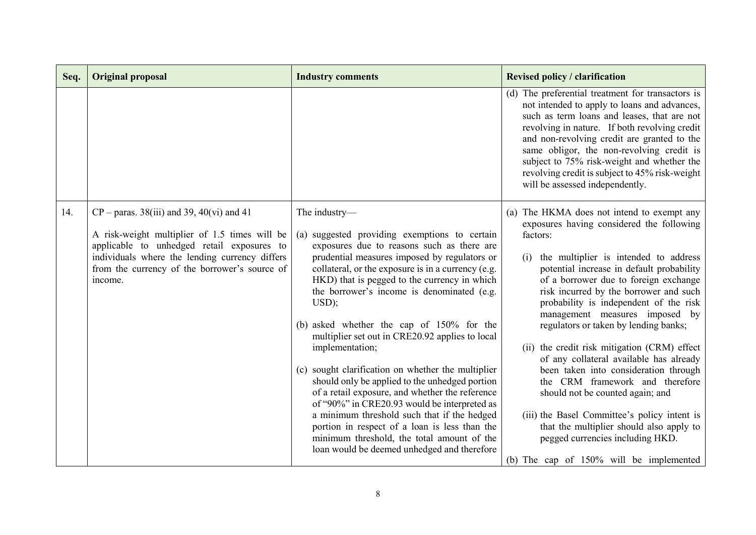| Seq. | <b>Original proposal</b>                                                                                                                           | <b>Industry comments</b>                                                                                                                                                                                  | <b>Revised policy / clarification</b>                                                                                                                                                                                                                                                                                                                                                                                            |
|------|----------------------------------------------------------------------------------------------------------------------------------------------------|-----------------------------------------------------------------------------------------------------------------------------------------------------------------------------------------------------------|----------------------------------------------------------------------------------------------------------------------------------------------------------------------------------------------------------------------------------------------------------------------------------------------------------------------------------------------------------------------------------------------------------------------------------|
|      |                                                                                                                                                    |                                                                                                                                                                                                           | (d) The preferential treatment for transactors is<br>not intended to apply to loans and advances,<br>such as term loans and leases, that are not<br>revolving in nature. If both revolving credit<br>and non-revolving credit are granted to the<br>same obligor, the non-revolving credit is<br>subject to 75% risk-weight and whether the<br>revolving credit is subject to 45% risk-weight<br>will be assessed independently. |
| 14.  | $CP - \text{paras. } 38(iii)$ and 39, 40(vi) and 41<br>A risk-weight multiplier of 1.5 times will be<br>applicable to unhedged retail exposures to | The industry-<br>(a) suggested providing exemptions to certain<br>exposures due to reasons such as there are                                                                                              | (a) The HKMA does not intend to exempt any<br>exposures having considered the following<br>factors:                                                                                                                                                                                                                                                                                                                              |
|      | individuals where the lending currency differs<br>from the currency of the borrower's source of<br>income.                                         | prudential measures imposed by regulators or<br>collateral, or the exposure is in a currency (e.g.<br>HKD) that is pegged to the currency in which<br>the borrower's income is denominated (e.g.<br>USD); | the multiplier is intended to address<br>(i)<br>potential increase in default probability<br>of a borrower due to foreign exchange<br>risk incurred by the borrower and such<br>probability is independent of the risk<br>management measures imposed by                                                                                                                                                                         |
|      |                                                                                                                                                    | (b) asked whether the cap of 150% for the<br>multiplier set out in CRE20.92 applies to local<br>implementation;                                                                                           | regulators or taken by lending banks;<br>(ii) the credit risk mitigation (CRM) effect                                                                                                                                                                                                                                                                                                                                            |
|      |                                                                                                                                                    | (c) sought clarification on whether the multiplier<br>should only be applied to the unhedged portion<br>of a retail exposure, and whether the reference<br>of "90%" in CRE20.93 would be interpreted as   | of any collateral available has already<br>been taken into consideration through<br>the CRM framework and therefore<br>should not be counted again; and                                                                                                                                                                                                                                                                          |
|      |                                                                                                                                                    | a minimum threshold such that if the hedged<br>portion in respect of a loan is less than the<br>minimum threshold, the total amount of the<br>loan would be deemed unhedged and therefore                 | (iii) the Basel Committee's policy intent is<br>that the multiplier should also apply to<br>pegged currencies including HKD.                                                                                                                                                                                                                                                                                                     |
|      |                                                                                                                                                    |                                                                                                                                                                                                           | (b) The cap of 150% will be implemented                                                                                                                                                                                                                                                                                                                                                                                          |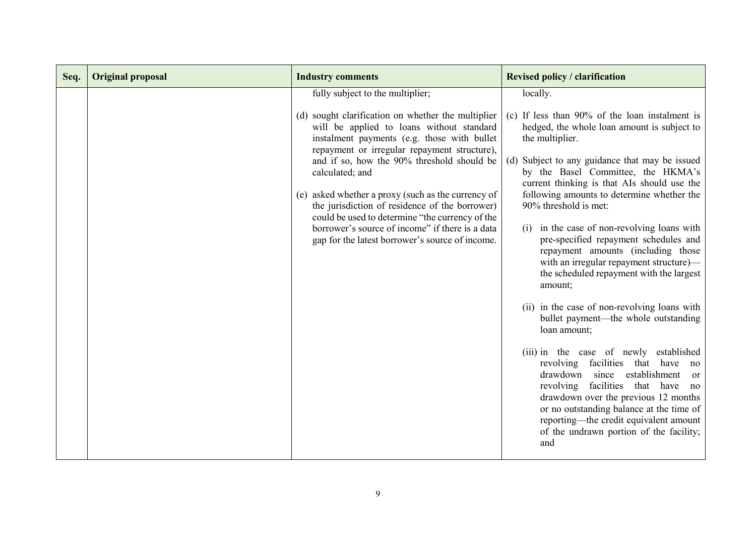| Seq. | <b>Original proposal</b> | <b>Industry comments</b>                                                                                                                                                                       | <b>Revised policy / clarification</b>                                                                                                                                                                                                                                                                                                                   |
|------|--------------------------|------------------------------------------------------------------------------------------------------------------------------------------------------------------------------------------------|---------------------------------------------------------------------------------------------------------------------------------------------------------------------------------------------------------------------------------------------------------------------------------------------------------------------------------------------------------|
|      |                          | fully subject to the multiplier;                                                                                                                                                               | locally.                                                                                                                                                                                                                                                                                                                                                |
|      |                          | (d) sought clarification on whether the multiplier<br>will be applied to loans without standard<br>instalment payments (e.g. those with bullet<br>repayment or irregular repayment structure), | (c) If less than 90% of the loan instalment is<br>hedged, the whole loan amount is subject to<br>the multiplier.                                                                                                                                                                                                                                        |
|      |                          | and if so, how the 90% threshold should be<br>calculated; and                                                                                                                                  | (d) Subject to any guidance that may be issued<br>by the Basel Committee, the HKMA's<br>current thinking is that AIs should use the                                                                                                                                                                                                                     |
|      |                          | (e) asked whether a proxy (such as the currency of<br>the jurisdiction of residence of the borrower)<br>could be used to determine "the currency of the                                        | following amounts to determine whether the<br>90% threshold is met:                                                                                                                                                                                                                                                                                     |
|      |                          | borrower's source of income" if there is a data<br>gap for the latest borrower's source of income.                                                                                             | in the case of non-revolving loans with<br>(1)<br>pre-specified repayment schedules and<br>repayment amounts (including those<br>with an irregular repayment structure)-<br>the scheduled repayment with the largest<br>amount;                                                                                                                         |
|      |                          |                                                                                                                                                                                                | (ii) in the case of non-revolving loans with<br>bullet payment—the whole outstanding<br>loan amount;                                                                                                                                                                                                                                                    |
|      |                          |                                                                                                                                                                                                | (iii) in the case of newly established<br>revolving facilities that have<br>no<br>drawdown since establishment<br><sub>or</sub><br>revolving facilities that have<br>no<br>drawdown over the previous 12 months<br>or no outstanding balance at the time of<br>reporting—the credit equivalent amount<br>of the undrawn portion of the facility;<br>and |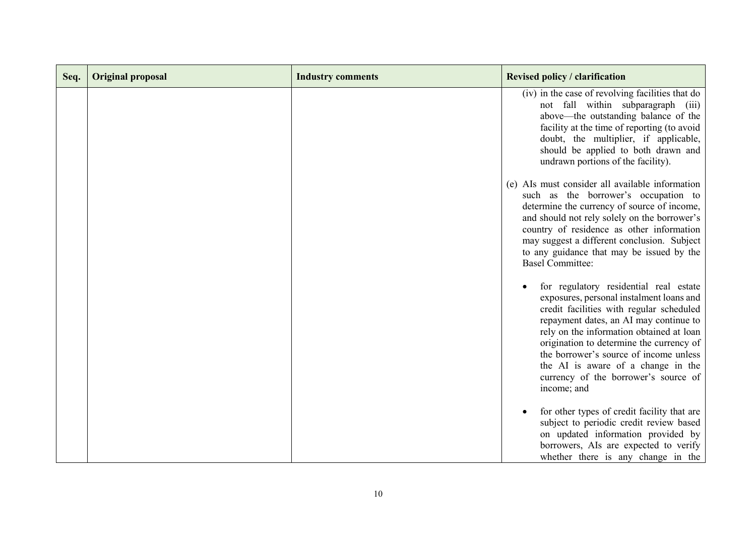| Seq. | <b>Original proposal</b> | <b>Industry comments</b> | <b>Revised policy / clarification</b>                                                                                                                                                                                                                                                                                                                                                                   |
|------|--------------------------|--------------------------|---------------------------------------------------------------------------------------------------------------------------------------------------------------------------------------------------------------------------------------------------------------------------------------------------------------------------------------------------------------------------------------------------------|
|      |                          |                          | (iv) in the case of revolving facilities that do<br>not fall within subparagraph (iii)<br>above—the outstanding balance of the<br>facility at the time of reporting (to avoid<br>doubt, the multiplier, if applicable,<br>should be applied to both drawn and<br>undrawn portions of the facility).                                                                                                     |
|      |                          |                          | (e) AIs must consider all available information<br>such as the borrower's occupation to<br>determine the currency of source of income,<br>and should not rely solely on the borrower's<br>country of residence as other information<br>may suggest a different conclusion. Subject<br>to any guidance that may be issued by the<br><b>Basel Committee:</b>                                              |
|      |                          |                          | for regulatory residential real estate<br>exposures, personal instalment loans and<br>credit facilities with regular scheduled<br>repayment dates, an AI may continue to<br>rely on the information obtained at loan<br>origination to determine the currency of<br>the borrower's source of income unless<br>the AI is aware of a change in the<br>currency of the borrower's source of<br>income; and |
|      |                          |                          | for other types of credit facility that are<br>subject to periodic credit review based<br>on updated information provided by<br>borrowers, AIs are expected to verify<br>whether there is any change in the                                                                                                                                                                                             |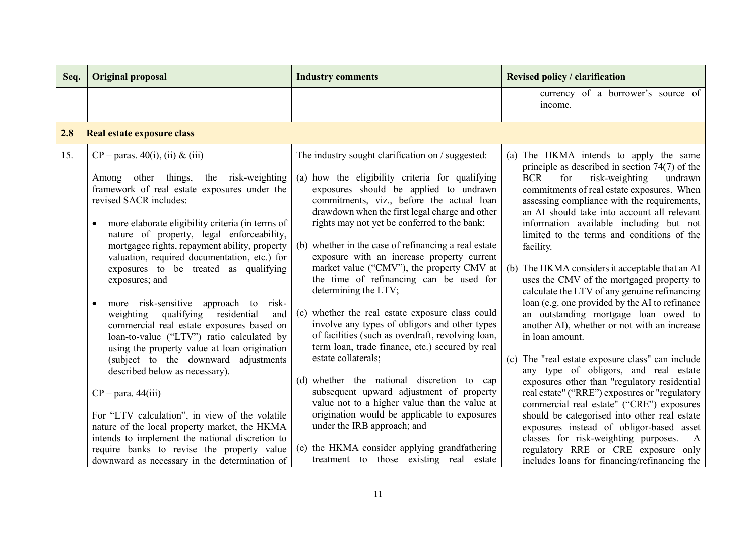| Seq. | <b>Original proposal</b>                                                                                                                                                                                                                                                                                                                                                                                                                                                                                                                                                                                                                                                                                                                                                                                                                                                                                                                                                                                                                   | <b>Industry comments</b>                                                                                                                                                                                                                                                                                                                                                                                                                                                                                                                                                                                                                                                                                                                                                                                                                                                                                                                                                                                                                                                         | <b>Revised policy / clarification</b>                                                                                                                                                                                                                                                                                                                                                                                                                                                                                                                                                                                                                                                                                                                                                                                                                                                                                                                                                                                                                                                                                                                                                  |
|------|--------------------------------------------------------------------------------------------------------------------------------------------------------------------------------------------------------------------------------------------------------------------------------------------------------------------------------------------------------------------------------------------------------------------------------------------------------------------------------------------------------------------------------------------------------------------------------------------------------------------------------------------------------------------------------------------------------------------------------------------------------------------------------------------------------------------------------------------------------------------------------------------------------------------------------------------------------------------------------------------------------------------------------------------|----------------------------------------------------------------------------------------------------------------------------------------------------------------------------------------------------------------------------------------------------------------------------------------------------------------------------------------------------------------------------------------------------------------------------------------------------------------------------------------------------------------------------------------------------------------------------------------------------------------------------------------------------------------------------------------------------------------------------------------------------------------------------------------------------------------------------------------------------------------------------------------------------------------------------------------------------------------------------------------------------------------------------------------------------------------------------------|----------------------------------------------------------------------------------------------------------------------------------------------------------------------------------------------------------------------------------------------------------------------------------------------------------------------------------------------------------------------------------------------------------------------------------------------------------------------------------------------------------------------------------------------------------------------------------------------------------------------------------------------------------------------------------------------------------------------------------------------------------------------------------------------------------------------------------------------------------------------------------------------------------------------------------------------------------------------------------------------------------------------------------------------------------------------------------------------------------------------------------------------------------------------------------------|
|      |                                                                                                                                                                                                                                                                                                                                                                                                                                                                                                                                                                                                                                                                                                                                                                                                                                                                                                                                                                                                                                            |                                                                                                                                                                                                                                                                                                                                                                                                                                                                                                                                                                                                                                                                                                                                                                                                                                                                                                                                                                                                                                                                                  | currency of a borrower's source of<br>income.                                                                                                                                                                                                                                                                                                                                                                                                                                                                                                                                                                                                                                                                                                                                                                                                                                                                                                                                                                                                                                                                                                                                          |
| 2.8  | Real estate exposure class                                                                                                                                                                                                                                                                                                                                                                                                                                                                                                                                                                                                                                                                                                                                                                                                                                                                                                                                                                                                                 |                                                                                                                                                                                                                                                                                                                                                                                                                                                                                                                                                                                                                                                                                                                                                                                                                                                                                                                                                                                                                                                                                  |                                                                                                                                                                                                                                                                                                                                                                                                                                                                                                                                                                                                                                                                                                                                                                                                                                                                                                                                                                                                                                                                                                                                                                                        |
| 15.  | $CP$ – paras. 40(i), (ii) & (iii)<br>Among other things,<br>the risk-weighting<br>framework of real estate exposures under the<br>revised SACR includes:<br>more elaborate eligibility criteria (in terms of<br>$\bullet$<br>nature of property, legal enforceability,<br>mortgagee rights, repayment ability, property<br>valuation, required documentation, etc.) for<br>exposures to be treated as qualifying<br>exposures; and<br>more risk-sensitive approach to risk-<br>$\bullet$<br>qualifying<br>residential<br>and<br>weighting<br>commercial real estate exposures based on<br>loan-to-value ("LTV") ratio calculated by<br>using the property value at loan origination<br>(subject to the downward adjustments<br>described below as necessary).<br>$CP - para. 44(iii)$<br>For "LTV calculation", in view of the volatile<br>nature of the local property market, the HKMA<br>intends to implement the national discretion to<br>require banks to revise the property value<br>downward as necessary in the determination of | The industry sought clarification on / suggested:<br>(a) how the eligibility criteria for qualifying<br>exposures should be applied to undrawn<br>commitments, viz., before the actual loan<br>drawdown when the first legal charge and other<br>rights may not yet be conferred to the bank;<br>whether in the case of refinancing a real estate<br>(b)<br>exposure with an increase property current<br>market value ("CMV"), the property CMV at<br>the time of refinancing can be used for<br>determining the LTV;<br>(c) whether the real estate exposure class could<br>involve any types of obligors and other types<br>of facilities (such as overdraft, revolving loan,<br>term loan, trade finance, etc.) secured by real<br>estate collaterals;<br>(d) whether the national discretion to cap<br>subsequent upward adjustment of property<br>value not to a higher value than the value at<br>origination would be applicable to exposures<br>under the IRB approach; and<br>(e) the HKMA consider applying grandfathering<br>treatment to those existing real estate | (a) The HKMA intends to apply the same<br>principle as described in section $74(7)$ of the<br>for<br><b>BCR</b><br>risk-weighting<br>undrawn<br>commitments of real estate exposures. When<br>assessing compliance with the requirements,<br>an AI should take into account all relevant<br>information available including but not<br>limited to the terms and conditions of the<br>facility.<br>(b) The HKMA considers it acceptable that an AI<br>uses the CMV of the mortgaged property to<br>calculate the LTV of any genuine refinancing<br>loan (e.g. one provided by the AI to refinance<br>an outstanding mortgage loan owed to<br>another AI), whether or not with an increase<br>in loan amount.<br>(c) The "real estate exposure class" can include<br>any type of obligors, and real estate<br>exposures other than "regulatory residential<br>real estate" ("RRE") exposures or "regulatory<br>commercial real estate" ("CRE") exposures<br>should be categorised into other real estate<br>exposures instead of obligor-based asset<br>classes for risk-weighting purposes.<br>A<br>regulatory RRE or CRE exposure only<br>includes loans for financing/refinancing the |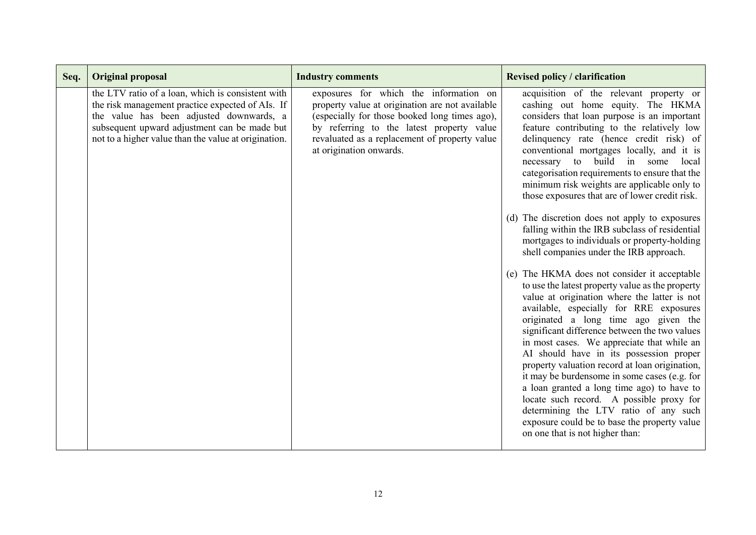| Seq. | <b>Original proposal</b>                                                                                                                                                                                                                                  | <b>Industry comments</b>                                                                                                                                                                                                                                            | <b>Revised policy / clarification</b>                                                                                                                                                                                                                                                                                                                                                                                                                                                                                                                                                                                                                                                                                                                                                                                                                                                                                                                                                                                                                                                                                                                                                                                                                                                                                                                            |
|------|-----------------------------------------------------------------------------------------------------------------------------------------------------------------------------------------------------------------------------------------------------------|---------------------------------------------------------------------------------------------------------------------------------------------------------------------------------------------------------------------------------------------------------------------|------------------------------------------------------------------------------------------------------------------------------------------------------------------------------------------------------------------------------------------------------------------------------------------------------------------------------------------------------------------------------------------------------------------------------------------------------------------------------------------------------------------------------------------------------------------------------------------------------------------------------------------------------------------------------------------------------------------------------------------------------------------------------------------------------------------------------------------------------------------------------------------------------------------------------------------------------------------------------------------------------------------------------------------------------------------------------------------------------------------------------------------------------------------------------------------------------------------------------------------------------------------------------------------------------------------------------------------------------------------|
|      | the LTV ratio of a loan, which is consistent with<br>the risk management practice expected of AIs. If<br>the value has been adjusted downwards, a<br>subsequent upward adjustment can be made but<br>not to a higher value than the value at origination. | exposures for which the information on<br>property value at origination are not available<br>(especially for those booked long times ago),<br>by referring to the latest property value<br>revaluated as a replacement of property value<br>at origination onwards. | acquisition of the relevant property or<br>cashing out home equity. The HKMA<br>considers that loan purpose is an important<br>feature contributing to the relatively low<br>delinquency rate (hence credit risk) of<br>conventional mortgages locally, and it is<br>necessary to build in some local<br>categorisation requirements to ensure that the<br>minimum risk weights are applicable only to<br>those exposures that are of lower credit risk.<br>(d) The discretion does not apply to exposures<br>falling within the IRB subclass of residential<br>mortgages to individuals or property-holding<br>shell companies under the IRB approach.<br>(e) The HKMA does not consider it acceptable<br>to use the latest property value as the property<br>value at origination where the latter is not<br>available, especially for RRE exposures<br>originated a long time ago given the<br>significant difference between the two values<br>in most cases. We appreciate that while an<br>AI should have in its possession proper<br>property valuation record at loan origination,<br>it may be burdensome in some cases (e.g. for<br>a loan granted a long time ago) to have to<br>locate such record. A possible proxy for<br>determining the LTV ratio of any such<br>exposure could be to base the property value<br>on one that is not higher than: |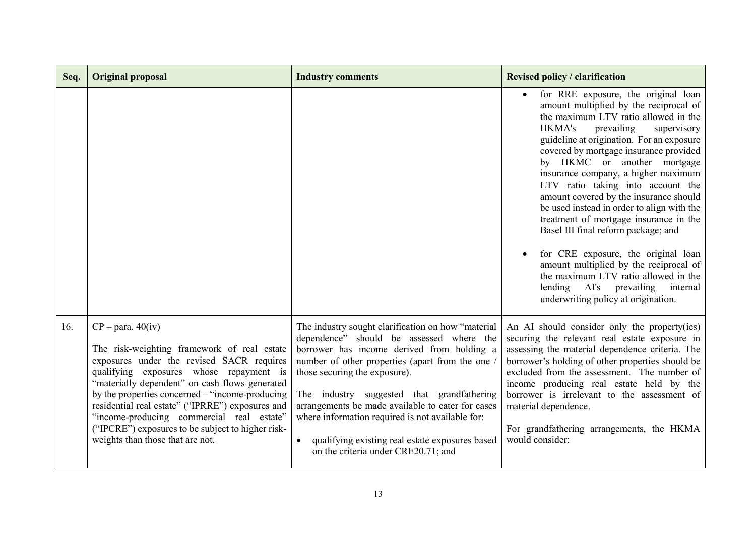| Seq. | <b>Original proposal</b>                                                                                                                                                                                                                                                                                                                                                                                                                                  | <b>Industry comments</b>                                                                                                                                                                                                                                                                                                                                                                                                                                                                        | <b>Revised policy / clarification</b>                                                                                                                                                                                                                                                                                                                                                                                                                                                                                                                                                                                                                                                                                                                              |
|------|-----------------------------------------------------------------------------------------------------------------------------------------------------------------------------------------------------------------------------------------------------------------------------------------------------------------------------------------------------------------------------------------------------------------------------------------------------------|-------------------------------------------------------------------------------------------------------------------------------------------------------------------------------------------------------------------------------------------------------------------------------------------------------------------------------------------------------------------------------------------------------------------------------------------------------------------------------------------------|--------------------------------------------------------------------------------------------------------------------------------------------------------------------------------------------------------------------------------------------------------------------------------------------------------------------------------------------------------------------------------------------------------------------------------------------------------------------------------------------------------------------------------------------------------------------------------------------------------------------------------------------------------------------------------------------------------------------------------------------------------------------|
|      |                                                                                                                                                                                                                                                                                                                                                                                                                                                           |                                                                                                                                                                                                                                                                                                                                                                                                                                                                                                 | for RRE exposure, the original loan<br>$\bullet$<br>amount multiplied by the reciprocal of<br>the maximum LTV ratio allowed in the<br><b>HKMA's</b><br>prevailing<br>supervisory<br>guideline at origination. For an exposure<br>covered by mortgage insurance provided<br>by HKMC or another mortgage<br>insurance company, a higher maximum<br>LTV ratio taking into account the<br>amount covered by the insurance should<br>be used instead in order to align with the<br>treatment of mortgage insurance in the<br>Basel III final reform package; and<br>for CRE exposure, the original loan<br>amount multiplied by the reciprocal of<br>the maximum LTV ratio allowed in the<br>internal<br>lending AI's prevailing<br>underwriting policy at origination. |
| 16.  | $CP - para. 40(iv)$<br>The risk-weighting framework of real estate<br>exposures under the revised SACR requires<br>qualifying exposures whose repayment is<br>"materially dependent" on cash flows generated<br>by the properties concerned – "income-producing<br>residential real estate" ("IPRRE") exposures and<br>"income-producing commercial real estate"<br>("IPCRE") exposures to be subject to higher risk-<br>weights than those that are not. | The industry sought clarification on how "material<br>dependence" should be assessed where the<br>borrower has income derived from holding a<br>number of other properties (apart from the one /<br>those securing the exposure).<br>The industry suggested that grandfathering<br>arrangements be made available to cater for cases<br>where information required is not available for:<br>qualifying existing real estate exposures based<br>$\bullet$<br>on the criteria under CRE20.71; and | An AI should consider only the property(ies)<br>securing the relevant real estate exposure in<br>assessing the material dependence criteria. The<br>borrower's holding of other properties should be<br>excluded from the assessment. The number of<br>income producing real estate held by the<br>borrower is irrelevant to the assessment of<br>material dependence.<br>For grandfathering arrangements, the HKMA<br>would consider:                                                                                                                                                                                                                                                                                                                             |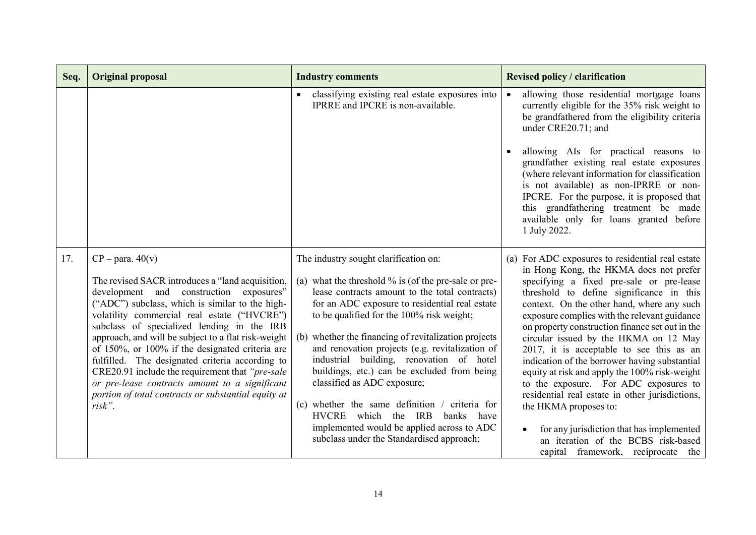| Seq. | <b>Original proposal</b>                                                                                                                                                                                                                                                                                                                                                                                                                                                                                                                                                                                | <b>Industry comments</b>                                                                                                                                                                                                                                                                                                                                                                                                                                                                                                                                                                                                                                                         | <b>Revised policy / clarification</b>                                                                                                                                                                                                                                                                                                                                                                                                                                                                                                                                                                                                                                                                                                                                     |
|------|---------------------------------------------------------------------------------------------------------------------------------------------------------------------------------------------------------------------------------------------------------------------------------------------------------------------------------------------------------------------------------------------------------------------------------------------------------------------------------------------------------------------------------------------------------------------------------------------------------|----------------------------------------------------------------------------------------------------------------------------------------------------------------------------------------------------------------------------------------------------------------------------------------------------------------------------------------------------------------------------------------------------------------------------------------------------------------------------------------------------------------------------------------------------------------------------------------------------------------------------------------------------------------------------------|---------------------------------------------------------------------------------------------------------------------------------------------------------------------------------------------------------------------------------------------------------------------------------------------------------------------------------------------------------------------------------------------------------------------------------------------------------------------------------------------------------------------------------------------------------------------------------------------------------------------------------------------------------------------------------------------------------------------------------------------------------------------------|
|      |                                                                                                                                                                                                                                                                                                                                                                                                                                                                                                                                                                                                         | classifying existing real estate exposures into<br>IPRRE and IPCRE is non-available.                                                                                                                                                                                                                                                                                                                                                                                                                                                                                                                                                                                             | allowing those residential mortgage loans<br>$\bullet$<br>currently eligible for the 35% risk weight to<br>be grandfathered from the eligibility criteria<br>under CRE20.71; and<br>allowing AIs for practical reasons to<br>grandfather existing real estate exposures<br>(where relevant information for classification<br>is not available) as non-IPRRE or non-<br>IPCRE. For the purpose, it is proposed that<br>this grandfathering treatment be made<br>available only for loans granted before<br>1 July 2022.                                                                                                                                                                                                                                                    |
| 17.  | $CP - para. 40(v)$<br>The revised SACR introduces a "land acquisition,<br>development and construction exposures"<br>("ADC") subclass, which is similar to the high-<br>volatility commercial real estate ("HVCRE")<br>subclass of specialized lending in the IRB<br>approach, and will be subject to a flat risk-weight<br>of 150%, or 100% if the designated criteria are<br>fulfilled. The designated criteria according to<br>CRE20.91 include the requirement that "pre-sale<br>or pre-lease contracts amount to a significant<br>portion of total contracts or substantial equity at<br>$risk$ ". | The industry sought clarification on:<br>(a) what the threshold $\%$ is (of the pre-sale or pre-<br>lease contracts amount to the total contracts)<br>for an ADC exposure to residential real estate<br>to be qualified for the 100% risk weight;<br>(b) whether the financing of revitalization projects<br>and renovation projects (e.g. revitalization of<br>industrial building, renovation of hotel<br>buildings, etc.) can be excluded from being<br>classified as ADC exposure;<br>(c) whether the same definition $\ell$ criteria for<br>banks<br>HVCRE which the IRB<br>have<br>implemented would be applied across to ADC<br>subclass under the Standardised approach; | (a) For ADC exposures to residential real estate<br>in Hong Kong, the HKMA does not prefer<br>specifying a fixed pre-sale or pre-lease<br>threshold to define significance in this<br>context. On the other hand, where any such<br>exposure complies with the relevant guidance<br>on property construction finance set out in the<br>circular issued by the HKMA on 12 May<br>2017, it is acceptable to see this as an<br>indication of the borrower having substantial<br>equity at risk and apply the 100% risk-weight<br>to the exposure. For ADC exposures to<br>residential real estate in other jurisdictions,<br>the HKMA proposes to:<br>for any jurisdiction that has implemented<br>an iteration of the BCBS risk-based<br>capital framework, reciprocate the |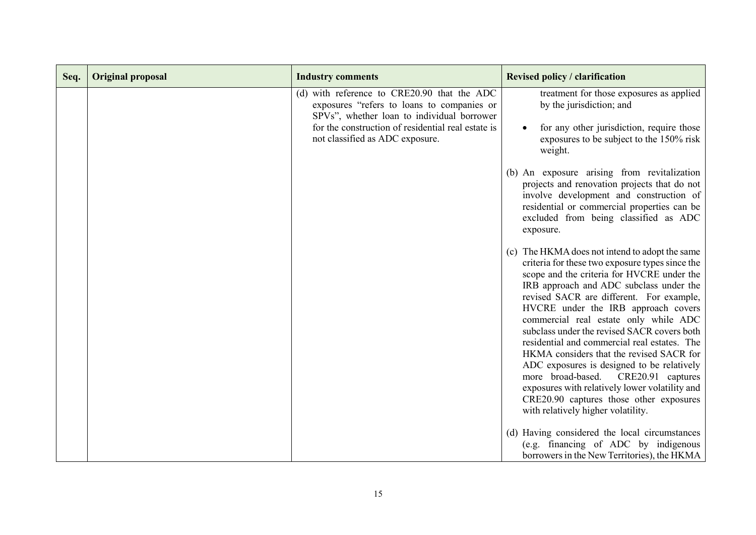| Seq. | <b>Original proposal</b> | <b>Industry comments</b>                                                                                                                                                                                                         | <b>Revised policy / clarification</b>                                                                                                                                                                                                                                                                                                                                                                                                                                                                                                                                                                                                                                          |
|------|--------------------------|----------------------------------------------------------------------------------------------------------------------------------------------------------------------------------------------------------------------------------|--------------------------------------------------------------------------------------------------------------------------------------------------------------------------------------------------------------------------------------------------------------------------------------------------------------------------------------------------------------------------------------------------------------------------------------------------------------------------------------------------------------------------------------------------------------------------------------------------------------------------------------------------------------------------------|
|      |                          | (d) with reference to CRE20.90 that the ADC<br>exposures "refers to loans to companies or<br>SPVs", whether loan to individual borrower<br>for the construction of residential real estate is<br>not classified as ADC exposure. | treatment for those exposures as applied<br>by the jurisdiction; and<br>for any other jurisdiction, require those<br>exposures to be subject to the 150% risk<br>weight.<br>(b) An exposure arising from revitalization<br>projects and renovation projects that do not<br>involve development and construction of<br>residential or commercial properties can be<br>excluded from being classified as ADC<br>exposure.<br>(c) The HKMA does not intend to adopt the same<br>criteria for these two exposure types since the<br>scope and the criteria for HVCRE under the                                                                                                     |
|      |                          |                                                                                                                                                                                                                                  | IRB approach and ADC subclass under the<br>revised SACR are different. For example,<br>HVCRE under the IRB approach covers<br>commercial real estate only while ADC<br>subclass under the revised SACR covers both<br>residential and commercial real estates. The<br>HKMA considers that the revised SACR for<br>ADC exposures is designed to be relatively<br>more broad-based. CRE20.91 captures<br>exposures with relatively lower volatility and<br>CRE20.90 captures those other exposures<br>with relatively higher volatility.<br>(d) Having considered the local circumstances<br>(e.g. financing of ADC by indigenous<br>borrowers in the New Territories), the HKMA |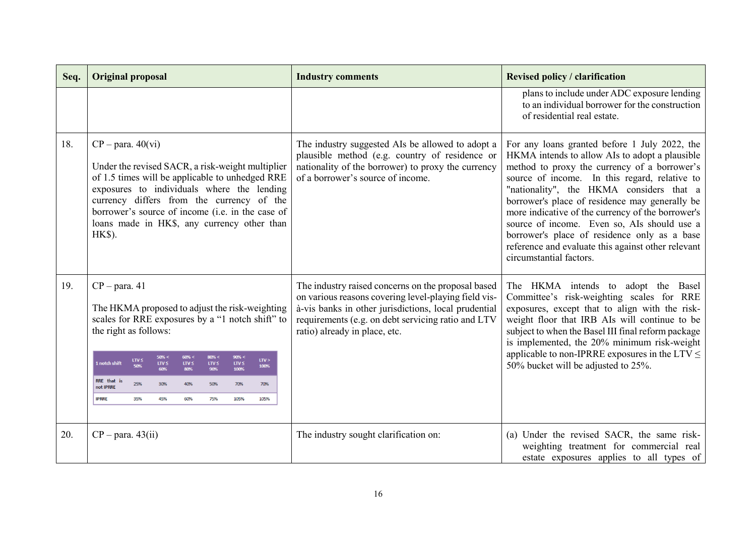| Seq. | <b>Original proposal</b>                                                                                                                                                                                                                                                                                                           | <b>Industry comments</b>                                                                                                                                                                                                                                  | <b>Revised policy / clarification</b>                                                                                                                                                                                                                                                                                                                                                                                                                                                                                               |
|------|------------------------------------------------------------------------------------------------------------------------------------------------------------------------------------------------------------------------------------------------------------------------------------------------------------------------------------|-----------------------------------------------------------------------------------------------------------------------------------------------------------------------------------------------------------------------------------------------------------|-------------------------------------------------------------------------------------------------------------------------------------------------------------------------------------------------------------------------------------------------------------------------------------------------------------------------------------------------------------------------------------------------------------------------------------------------------------------------------------------------------------------------------------|
|      |                                                                                                                                                                                                                                                                                                                                    |                                                                                                                                                                                                                                                           | plans to include under ADC exposure lending<br>to an individual borrower for the construction<br>of residential real estate.                                                                                                                                                                                                                                                                                                                                                                                                        |
| 18.  | $CP - para. 40(vi)$<br>Under the revised SACR, a risk-weight multiplier<br>of 1.5 times will be applicable to unhedged RRE<br>exposures to individuals where the lending<br>currency differs from the currency of the<br>borrower's source of income (i.e. in the case of<br>loans made in HK\$, any currency other than<br>HK\$). | The industry suggested AIs be allowed to adopt a<br>plausible method (e.g. country of residence or<br>nationality of the borrower) to proxy the currency<br>of a borrower's source of income.                                                             | For any loans granted before 1 July 2022, the<br>HKMA intends to allow AIs to adopt a plausible<br>method to proxy the currency of a borrower's<br>source of income. In this regard, relative to<br>"nationality", the HKMA considers that a<br>borrower's place of residence may generally be<br>more indicative of the currency of the borrower's<br>source of income. Even so, AIs should use a<br>borrower's place of residence only as a base<br>reference and evaluate this against other relevant<br>circumstantial factors. |
| 19.  | $CP - para. 41$<br>The HKMA proposed to adjust the risk-weighting<br>scales for RRE exposures by a "1 notch shift" to<br>the right as follows:                                                                                                                                                                                     | The industry raised concerns on the proposal based<br>on various reasons covering level-playing field vis-<br>à-vis banks in other jurisdictions, local prudential<br>requirements (e.g. on debt servicing ratio and LTV<br>ratio) already in place, etc. | The HKMA intends to adopt the Basel<br>Committee's risk-weighting scales for RRE<br>exposures, except that to align with the risk-<br>weight floor that IRB AIs will continue to be<br>subject to when the Basel III final reform package<br>is implemented, the 20% minimum risk-weight                                                                                                                                                                                                                                            |
|      | 50% <<br>80% <<br>90% <<br>LTV S<br>LTV ><br>1 notch shift<br>$LTV \leq$<br>LTV ≤<br>$LTV \leq$<br>LTV ≤<br>100%<br>100%<br>60%<br>90%<br>RRE that is<br>25%<br>30%<br>40%<br>50%<br>70%<br>70%<br>not IPRRE                                                                                                                       |                                                                                                                                                                                                                                                           | applicable to non-IPRRE exposures in the LTV $\leq$<br>50% bucket will be adjusted to 25%.                                                                                                                                                                                                                                                                                                                                                                                                                                          |
|      | <b>IPRRE</b><br>45%<br>35%<br>60%<br>75%<br>105%<br>105%                                                                                                                                                                                                                                                                           |                                                                                                                                                                                                                                                           |                                                                                                                                                                                                                                                                                                                                                                                                                                                                                                                                     |
| 20.  | $CP - para. 43(ii)$                                                                                                                                                                                                                                                                                                                | The industry sought clarification on:                                                                                                                                                                                                                     | (a) Under the revised SACR, the same risk-<br>weighting treatment for commercial real<br>estate exposures applies to all types of                                                                                                                                                                                                                                                                                                                                                                                                   |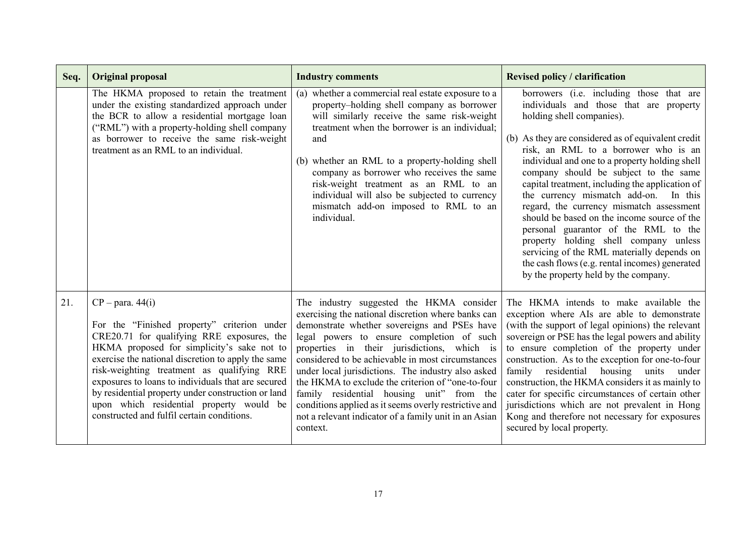| Seq. | <b>Original proposal</b>                                                                                                                                                                                                                                                                                                                                                                                                                                                | <b>Industry comments</b>                                                                                                                                                                                                                                                                                                                                                                                                                                                                                                                                                              | <b>Revised policy / clarification</b>                                                                                                                                                                                                                                                                                                                                                                                                                                                                                                                                                                                                                                                                                     |
|------|-------------------------------------------------------------------------------------------------------------------------------------------------------------------------------------------------------------------------------------------------------------------------------------------------------------------------------------------------------------------------------------------------------------------------------------------------------------------------|---------------------------------------------------------------------------------------------------------------------------------------------------------------------------------------------------------------------------------------------------------------------------------------------------------------------------------------------------------------------------------------------------------------------------------------------------------------------------------------------------------------------------------------------------------------------------------------|---------------------------------------------------------------------------------------------------------------------------------------------------------------------------------------------------------------------------------------------------------------------------------------------------------------------------------------------------------------------------------------------------------------------------------------------------------------------------------------------------------------------------------------------------------------------------------------------------------------------------------------------------------------------------------------------------------------------------|
|      | The HKMA proposed to retain the treatment<br>under the existing standardized approach under<br>the BCR to allow a residential mortgage loan<br>("RML") with a property-holding shell company<br>as borrower to receive the same risk-weight<br>treatment as an RML to an individual.                                                                                                                                                                                    | $\overline{(a)}$ whether a commercial real estate exposure to a<br>property-holding shell company as borrower<br>will similarly receive the same risk-weight<br>treatment when the borrower is an individual;<br>and<br>(b) whether an RML to a property-holding shell<br>company as borrower who receives the same<br>risk-weight treatment as an RML to an<br>individual will also be subjected to currency<br>mismatch add-on imposed to RML to an<br>individual.                                                                                                                  | borrowers (i.e. including those that are<br>individuals and those that are property<br>holding shell companies).<br>(b) As they are considered as of equivalent credit<br>risk, an RML to a borrower who is an<br>individual and one to a property holding shell<br>company should be subject to the same<br>capital treatment, including the application of<br>the currency mismatch add-on. In this<br>regard, the currency mismatch assessment<br>should be based on the income source of the<br>personal guarantor of the RML to the<br>property holding shell company unless<br>servicing of the RML materially depends on<br>the cash flows (e.g. rental incomes) generated<br>by the property held by the company. |
| 21.  | $CP$ – para. 44(i)<br>For the "Finished property" criterion under<br>CRE20.71 for qualifying RRE exposures, the<br>HKMA proposed for simplicity's sake not to<br>exercise the national discretion to apply the same<br>risk-weighting treatment as qualifying RRE<br>exposures to loans to individuals that are secured<br>by residential property under construction or land<br>upon which residential property would be<br>constructed and fulfil certain conditions. | The industry suggested the HKMA consider<br>exercising the national discretion where banks can<br>demonstrate whether sovereigns and PSEs have<br>legal powers to ensure completion of such<br>properties in their jurisdictions, which is<br>considered to be achievable in most circumstances<br>under local jurisdictions. The industry also asked<br>the HKMA to exclude the criterion of "one-to-four<br>family residential housing unit" from the<br>conditions applied as it seems overly restrictive and<br>not a relevant indicator of a family unit in an Asian<br>context. | The HKMA intends to make available the<br>exception where AIs are able to demonstrate<br>(with the support of legal opinions) the relevant<br>sovereign or PSE has the legal powers and ability<br>to ensure completion of the property under<br>construction. As to the exception for one-to-four<br>family residential housing units under<br>construction, the HKMA considers it as mainly to<br>cater for specific circumstances of certain other<br>jurisdictions which are not prevalent in Hong<br>Kong and therefore not necessary for exposures<br>secured by local property.                                                                                                                                    |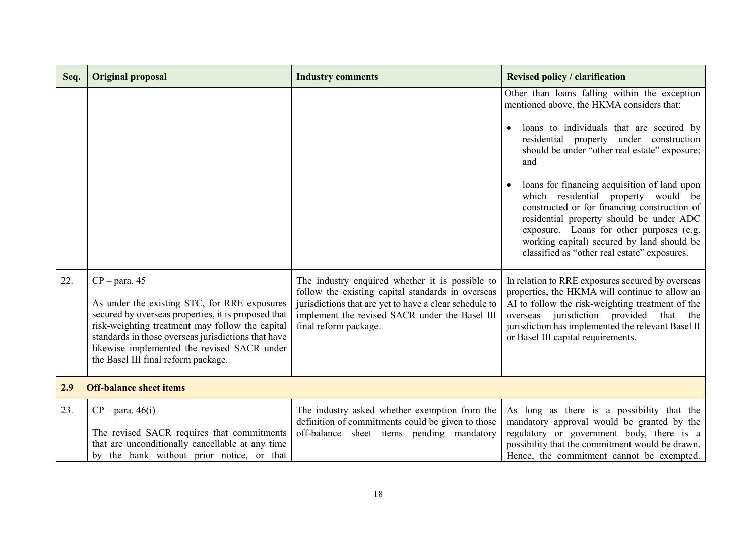| Seq. | <b>Original proposal</b>                                                                                                                                                                                                                                                                                               | <b>Industry comments</b>                                                                                                                                                                                                                  | <b>Revised policy / clarification</b>                                                                                                                                                                                                                                                                                                                                                                                                                                                                                                                                                                                                                                                                                                                                                                                                                                   |
|------|------------------------------------------------------------------------------------------------------------------------------------------------------------------------------------------------------------------------------------------------------------------------------------------------------------------------|-------------------------------------------------------------------------------------------------------------------------------------------------------------------------------------------------------------------------------------------|-------------------------------------------------------------------------------------------------------------------------------------------------------------------------------------------------------------------------------------------------------------------------------------------------------------------------------------------------------------------------------------------------------------------------------------------------------------------------------------------------------------------------------------------------------------------------------------------------------------------------------------------------------------------------------------------------------------------------------------------------------------------------------------------------------------------------------------------------------------------------|
| 22.  | $CP - para. 45$<br>As under the existing STC, for RRE exposures<br>secured by overseas properties, it is proposed that<br>risk-weighting treatment may follow the capital<br>standards in those overseas jurisdictions that have<br>likewise implemented the revised SACR under<br>the Basel III final reform package. | The industry enquired whether it is possible to<br>follow the existing capital standards in overseas<br>jurisdictions that are yet to have a clear schedule to<br>implement the revised SACR under the Basel III<br>final reform package. | Other than loans falling within the exception<br>mentioned above, the HKMA considers that:<br>loans to individuals that are secured by<br>residential property under construction<br>should be under "other real estate" exposure;<br>and<br>loans for financing acquisition of land upon<br>which residential property would be<br>constructed or for financing construction of<br>residential property should be under ADC<br>exposure. Loans for other purposes (e.g.<br>working capital) secured by land should be<br>classified as "other real estate" exposures.<br>In relation to RRE exposures secured by overseas<br>properties, the HKMA will continue to allow an<br>AI to follow the risk-weighting treatment of the<br>overseas jurisdiction provided that the<br>jurisdiction has implemented the relevant Basel II<br>or Basel III capital requirements. |
|      | <b>Off-balance sheet items</b>                                                                                                                                                                                                                                                                                         |                                                                                                                                                                                                                                           |                                                                                                                                                                                                                                                                                                                                                                                                                                                                                                                                                                                                                                                                                                                                                                                                                                                                         |
| 2.9  |                                                                                                                                                                                                                                                                                                                        |                                                                                                                                                                                                                                           |                                                                                                                                                                                                                                                                                                                                                                                                                                                                                                                                                                                                                                                                                                                                                                                                                                                                         |
| 23.  | $CP$ – para. 46(i)<br>The revised SACR requires that commitments<br>that are unconditionally cancellable at any time                                                                                                                                                                                                   | The industry asked whether exemption from the<br>definition of commitments could be given to those<br>off-balance sheet items pending mandatory                                                                                           | As long as there is a possibility that the<br>mandatory approval would be granted by the<br>regulatory or government body, there is a<br>possibility that the commitment would be drawn.                                                                                                                                                                                                                                                                                                                                                                                                                                                                                                                                                                                                                                                                                |
|      | by the bank without prior notice, or that                                                                                                                                                                                                                                                                              |                                                                                                                                                                                                                                           | Hence, the commitment cannot be exempted.                                                                                                                                                                                                                                                                                                                                                                                                                                                                                                                                                                                                                                                                                                                                                                                                                               |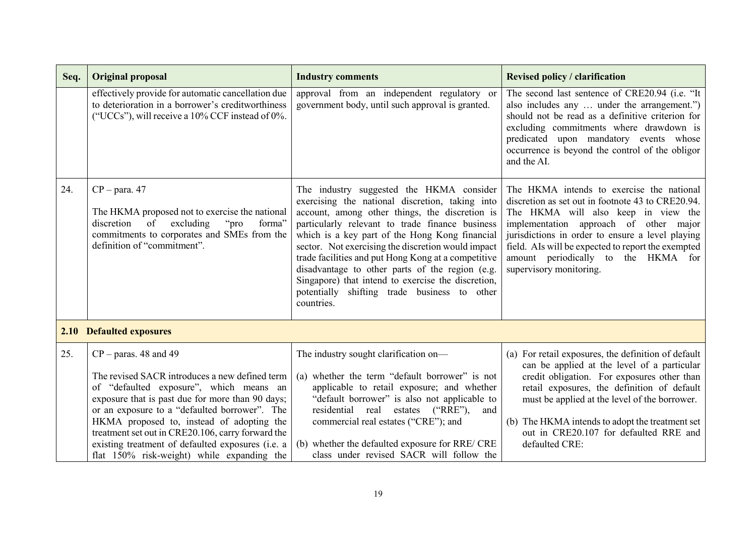| Seq. | <b>Original proposal</b>                                                                                                                                                                                                                                                                                                                                                                                                               | <b>Industry comments</b>                                                                                                                                                                                                                                                                                                                                                                                                                                                                                                               | <b>Revised policy / clarification</b>                                                                                                                                                                                                                                                                                                                            |
|------|----------------------------------------------------------------------------------------------------------------------------------------------------------------------------------------------------------------------------------------------------------------------------------------------------------------------------------------------------------------------------------------------------------------------------------------|----------------------------------------------------------------------------------------------------------------------------------------------------------------------------------------------------------------------------------------------------------------------------------------------------------------------------------------------------------------------------------------------------------------------------------------------------------------------------------------------------------------------------------------|------------------------------------------------------------------------------------------------------------------------------------------------------------------------------------------------------------------------------------------------------------------------------------------------------------------------------------------------------------------|
|      | effectively provide for automatic cancellation due<br>to deterioration in a borrower's creditworthiness<br>("UCCs"), will receive a 10% CCF instead of 0%.                                                                                                                                                                                                                                                                             | approval from an independent regulatory or<br>government body, until such approval is granted.                                                                                                                                                                                                                                                                                                                                                                                                                                         | The second last sentence of CRE20.94 (i.e. "It<br>also includes any  under the arrangement.")<br>should not be read as a definitive criterion for<br>excluding commitments where drawdown is<br>predicated upon mandatory events whose<br>occurrence is beyond the control of the obligor<br>and the AI.                                                         |
| 24.  | $CP - para. 47$<br>The HKMA proposed not to exercise the national<br>$\circ$ of<br>excluding<br>"pro"<br>discretion<br>forma"<br>commitments to corporates and SMEs from the<br>definition of "commitment".                                                                                                                                                                                                                            | The industry suggested the HKMA consider<br>exercising the national discretion, taking into<br>account, among other things, the discretion is<br>particularly relevant to trade finance business<br>which is a key part of the Hong Kong financial<br>sector. Not exercising the discretion would impact<br>trade facilities and put Hong Kong at a competitive<br>disadvantage to other parts of the region (e.g.<br>Singapore) that intend to exercise the discretion,<br>potentially shifting trade business to other<br>countries. | The HKMA intends to exercise the national<br>discretion as set out in footnote 43 to CRE20.94.<br>The HKMA will also keep in view the<br>implementation approach of other major<br>jurisdictions in order to ensure a level playing<br>field. Als will be expected to report the exempted<br>amount periodically to the HKMA for<br>supervisory monitoring.      |
|      | <b>2.10 Defaulted exposures</b>                                                                                                                                                                                                                                                                                                                                                                                                        |                                                                                                                                                                                                                                                                                                                                                                                                                                                                                                                                        |                                                                                                                                                                                                                                                                                                                                                                  |
| 25.  | $CP - \text{paras. } 48$ and 49<br>The revised SACR introduces a new defined term<br>of "defaulted exposure", which means an<br>exposure that is past due for more than 90 days;<br>or an exposure to a "defaulted borrower". The<br>HKMA proposed to, instead of adopting the<br>treatment set out in CRE20.106, carry forward the<br>existing treatment of defaulted exposures (i.e. a<br>flat 150% risk-weight) while expanding the | The industry sought clarification on-<br>(a) whether the term "default borrower" is not<br>applicable to retail exposure; and whether<br>"default borrower" is also not applicable to<br>residential real estates<br>$(^{\circ}RRE$ "),<br>and<br>commercial real estates ("CRE"); and<br>(b) whether the defaulted exposure for RRE/ CRE<br>class under revised SACR will follow the                                                                                                                                                  | (a) For retail exposures, the definition of default<br>can be applied at the level of a particular<br>credit obligation. For exposures other than<br>retail exposures, the definition of default<br>must be applied at the level of the borrower.<br>(b) The HKMA intends to adopt the treatment set<br>out in CRE20.107 for defaulted RRE and<br>defaulted CRE: |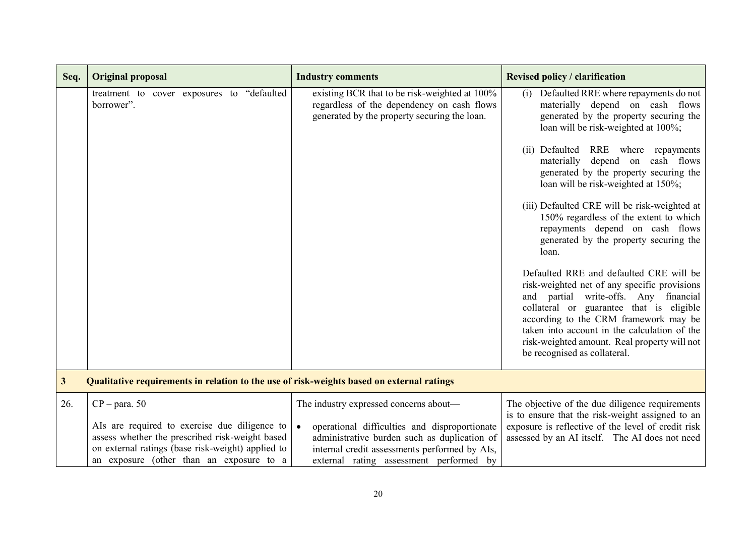| Seq.         | <b>Original proposal</b>                                                                                                                         | <b>Industry comments</b>                                                                                                                    | <b>Revised policy / clarification</b>                                                                                                                                                                                                                                                                                                                 |
|--------------|--------------------------------------------------------------------------------------------------------------------------------------------------|---------------------------------------------------------------------------------------------------------------------------------------------|-------------------------------------------------------------------------------------------------------------------------------------------------------------------------------------------------------------------------------------------------------------------------------------------------------------------------------------------------------|
|              | treatment to cover exposures to "defaulted<br>borrower".                                                                                         | existing BCR that to be risk-weighted at 100%<br>regardless of the dependency on cash flows<br>generated by the property securing the loan. | Defaulted RRE where repayments do not<br>(i)<br>materially depend on cash flows<br>generated by the property securing the<br>loan will be risk-weighted at 100%;                                                                                                                                                                                      |
|              |                                                                                                                                                  |                                                                                                                                             | (ii) Defaulted RRE where repayments<br>materially depend on cash flows<br>generated by the property securing the<br>loan will be risk-weighted at 150%;                                                                                                                                                                                               |
|              |                                                                                                                                                  |                                                                                                                                             | (iii) Defaulted CRE will be risk-weighted at<br>150% regardless of the extent to which<br>repayments depend on cash flows<br>generated by the property securing the<br>loan.                                                                                                                                                                          |
|              |                                                                                                                                                  |                                                                                                                                             | Defaulted RRE and defaulted CRE will be<br>risk-weighted net of any specific provisions<br>and partial write-offs. Any financial<br>collateral or guarantee that is eligible<br>according to the CRM framework may be<br>taken into account in the calculation of the<br>risk-weighted amount. Real property will not<br>be recognised as collateral. |
| $\mathbf{3}$ | Qualitative requirements in relation to the use of risk-weights based on external ratings                                                        |                                                                                                                                             |                                                                                                                                                                                                                                                                                                                                                       |
| 26.          | $CP - para. 50$<br>Als are required to exercise due diligence to                                                                                 | The industry expressed concerns about—<br>operational difficulties and disproportionate<br>$\bullet$                                        | The objective of the due diligence requirements<br>is to ensure that the risk-weight assigned to an<br>exposure is reflective of the level of credit risk                                                                                                                                                                                             |
|              | assess whether the prescribed risk-weight based<br>on external ratings (base risk-weight) applied to<br>an exposure (other than an exposure to a | administrative burden such as duplication of<br>internal credit assessments performed by AIs,<br>external rating assessment performed by    | assessed by an AI itself. The AI does not need                                                                                                                                                                                                                                                                                                        |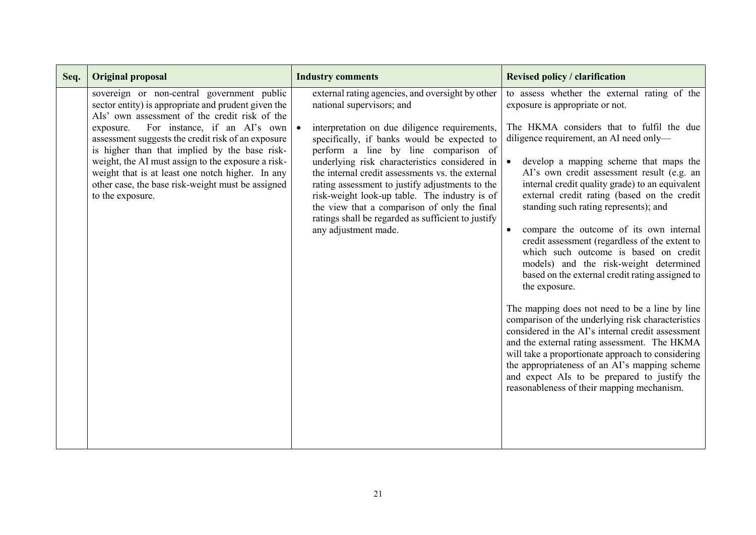| Seq. | <b>Original proposal</b>                                                                                                                                                                                                                                                                                                                                                                                                                                                                  | <b>Industry comments</b>                                                                                                                                                                                                                                                                                                                                                                                                                                                                                                                                     | <b>Revised policy / clarification</b>                                                                                                                                                                                                                                                                                                                                                                                                                                                                                                                                                                                                                                                                                                                                                                                                                                                                                                        |
|------|-------------------------------------------------------------------------------------------------------------------------------------------------------------------------------------------------------------------------------------------------------------------------------------------------------------------------------------------------------------------------------------------------------------------------------------------------------------------------------------------|--------------------------------------------------------------------------------------------------------------------------------------------------------------------------------------------------------------------------------------------------------------------------------------------------------------------------------------------------------------------------------------------------------------------------------------------------------------------------------------------------------------------------------------------------------------|----------------------------------------------------------------------------------------------------------------------------------------------------------------------------------------------------------------------------------------------------------------------------------------------------------------------------------------------------------------------------------------------------------------------------------------------------------------------------------------------------------------------------------------------------------------------------------------------------------------------------------------------------------------------------------------------------------------------------------------------------------------------------------------------------------------------------------------------------------------------------------------------------------------------------------------------|
|      | sovereign or non-central government public<br>sector entity) is appropriate and prudent given the<br>Als' own assessment of the credit risk of the<br>For instance, if an AI's own<br>exposure.<br>assessment suggests the credit risk of an exposure<br>is higher than that implied by the base risk-<br>weight, the AI must assign to the exposure a risk-<br>weight that is at least one notch higher. In any<br>other case, the base risk-weight must be assigned<br>to the exposure. | external rating agencies, and oversight by other<br>national supervisors; and<br>interpretation on due diligence requirements,<br>specifically, if banks would be expected to<br>perform a line by line comparison of<br>underlying risk characteristics considered in<br>the internal credit assessments vs. the external<br>rating assessment to justify adjustments to the<br>risk-weight look-up table. The industry is of<br>the view that a comparison of only the final<br>ratings shall be regarded as sufficient to justify<br>any adjustment made. | to assess whether the external rating of the<br>exposure is appropriate or not.<br>The HKMA considers that to fulfil the due<br>diligence requirement, an AI need only—<br>develop a mapping scheme that maps the<br>$\bullet$<br>AI's own credit assessment result (e.g. an<br>internal credit quality grade) to an equivalent<br>external credit rating (based on the credit<br>standing such rating represents); and<br>compare the outcome of its own internal<br>credit assessment (regardless of the extent to<br>which such outcome is based on credit<br>models) and the risk-weight determined<br>based on the external credit rating assigned to<br>the exposure.<br>The mapping does not need to be a line by line<br>comparison of the underlying risk characteristics<br>considered in the AI's internal credit assessment<br>and the external rating assessment. The HKMA<br>will take a proportionate approach to considering |
|      |                                                                                                                                                                                                                                                                                                                                                                                                                                                                                           |                                                                                                                                                                                                                                                                                                                                                                                                                                                                                                                                                              | the appropriateness of an AI's mapping scheme<br>and expect AIs to be prepared to justify the<br>reasonableness of their mapping mechanism.                                                                                                                                                                                                                                                                                                                                                                                                                                                                                                                                                                                                                                                                                                                                                                                                  |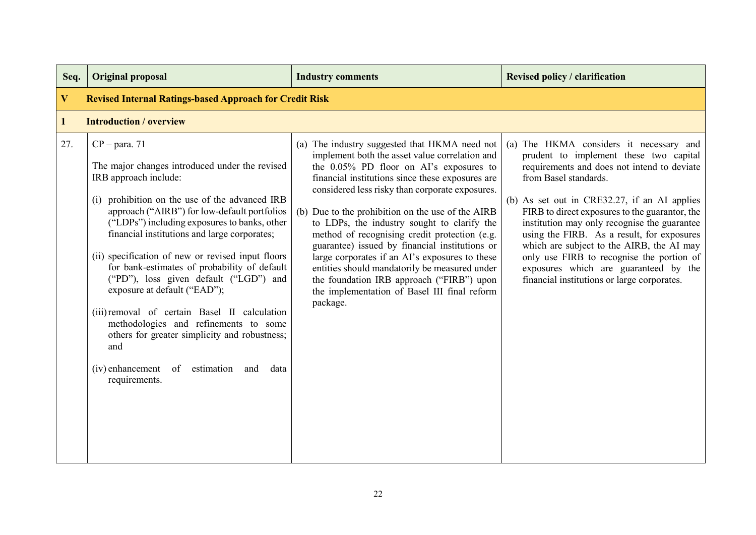| Seq.         | <b>Original proposal</b>                                                                                                                                                                                                                                                                                                                                                                                                                                                                                                                                                                                                                                                                                 | <b>Industry comments</b>                                                                                                                                                                                                                                                                                                                                                                                                                                                                                                                                                                                                                                             | <b>Revised policy / clarification</b>                                                                                                                                                                                                                                                                                                                                                                                                                                                                                                       |
|--------------|----------------------------------------------------------------------------------------------------------------------------------------------------------------------------------------------------------------------------------------------------------------------------------------------------------------------------------------------------------------------------------------------------------------------------------------------------------------------------------------------------------------------------------------------------------------------------------------------------------------------------------------------------------------------------------------------------------|----------------------------------------------------------------------------------------------------------------------------------------------------------------------------------------------------------------------------------------------------------------------------------------------------------------------------------------------------------------------------------------------------------------------------------------------------------------------------------------------------------------------------------------------------------------------------------------------------------------------------------------------------------------------|---------------------------------------------------------------------------------------------------------------------------------------------------------------------------------------------------------------------------------------------------------------------------------------------------------------------------------------------------------------------------------------------------------------------------------------------------------------------------------------------------------------------------------------------|
| $\mathbf{V}$ | <b>Revised Internal Ratings-based Approach for Credit Risk</b>                                                                                                                                                                                                                                                                                                                                                                                                                                                                                                                                                                                                                                           |                                                                                                                                                                                                                                                                                                                                                                                                                                                                                                                                                                                                                                                                      |                                                                                                                                                                                                                                                                                                                                                                                                                                                                                                                                             |
| $\mathbf{1}$ | <b>Introduction / overview</b>                                                                                                                                                                                                                                                                                                                                                                                                                                                                                                                                                                                                                                                                           |                                                                                                                                                                                                                                                                                                                                                                                                                                                                                                                                                                                                                                                                      |                                                                                                                                                                                                                                                                                                                                                                                                                                                                                                                                             |
| 27.          | $CP - para. 71$<br>The major changes introduced under the revised<br>IRB approach include:<br>prohibition on the use of the advanced IRB<br>(i)<br>approach ("AIRB") for low-default portfolios<br>("LDPs") including exposures to banks, other<br>financial institutions and large corporates;<br>(ii) specification of new or revised input floors<br>for bank-estimates of probability of default<br>("PD"), loss given default ("LGD") and<br>exposure at default ("EAD");<br>(iii) removal of certain Basel II calculation<br>methodologies and refinements to some<br>others for greater simplicity and robustness;<br>and<br>(iv) enhancement<br>of<br>estimation<br>and<br>data<br>requirements. | (a) The industry suggested that HKMA need not<br>implement both the asset value correlation and<br>the 0.05% PD floor on AI's exposures to<br>financial institutions since these exposures are<br>considered less risky than corporate exposures.<br>(b) Due to the prohibition on the use of the AIRB<br>to LDPs, the industry sought to clarify the<br>method of recognising credit protection (e.g.<br>guarantee) issued by financial institutions or<br>large corporates if an AI's exposures to these<br>entities should mandatorily be measured under<br>the foundation IRB approach ("FIRB") upon<br>the implementation of Basel III final reform<br>package. | (a) The HKMA considers it necessary and<br>prudent to implement these two capital<br>requirements and does not intend to deviate<br>from Basel standards.<br>(b) As set out in CRE32.27, if an AI applies<br>FIRB to direct exposures to the guarantor, the<br>institution may only recognise the guarantee<br>using the FIRB. As a result, for exposures<br>which are subject to the AIRB, the AI may<br>only use FIRB to recognise the portion of<br>exposures which are guaranteed by the<br>financial institutions or large corporates. |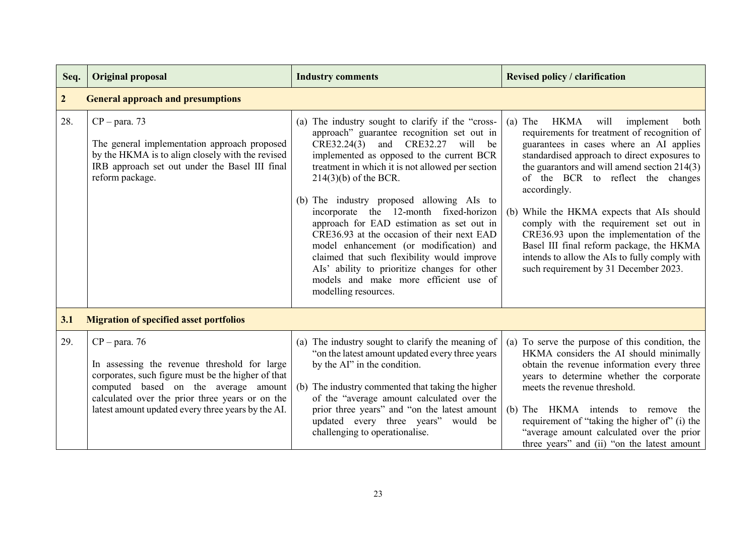| Seq.           | <b>Original proposal</b>                                                                                                                                                                                                                                               | <b>Industry comments</b>                                                                                                                                                                                                                                                                                                                                                                                                                                                                                                                                                                                                                                           | <b>Revised policy / clarification</b>                                                                                                                                                                                                                                                                                                                                                                                                                                                                                                                                   |
|----------------|------------------------------------------------------------------------------------------------------------------------------------------------------------------------------------------------------------------------------------------------------------------------|--------------------------------------------------------------------------------------------------------------------------------------------------------------------------------------------------------------------------------------------------------------------------------------------------------------------------------------------------------------------------------------------------------------------------------------------------------------------------------------------------------------------------------------------------------------------------------------------------------------------------------------------------------------------|-------------------------------------------------------------------------------------------------------------------------------------------------------------------------------------------------------------------------------------------------------------------------------------------------------------------------------------------------------------------------------------------------------------------------------------------------------------------------------------------------------------------------------------------------------------------------|
| $\overline{2}$ | <b>General approach and presumptions</b>                                                                                                                                                                                                                               |                                                                                                                                                                                                                                                                                                                                                                                                                                                                                                                                                                                                                                                                    |                                                                                                                                                                                                                                                                                                                                                                                                                                                                                                                                                                         |
| 28.            | $CP - para. 73$<br>The general implementation approach proposed<br>by the HKMA is to align closely with the revised<br>IRB approach set out under the Basel III final<br>reform package.                                                                               | (a) The industry sought to clarify if the "cross-<br>approach" guarantee recognition set out in<br>CRE32.24(3)<br>and CRE32.27<br>will be<br>implemented as opposed to the current BCR<br>treatment in which it is not allowed per section<br>$214(3)(b)$ of the BCR.<br>(b) The industry proposed allowing AIs to<br>incorporate the 12-month fixed-horizon<br>approach for EAD estimation as set out in<br>CRE36.93 at the occasion of their next EAD<br>model enhancement (or modification) and<br>claimed that such flexibility would improve<br>Als' ability to prioritize changes for other<br>models and make more efficient use of<br>modelling resources. | $(a)$ The<br>HKMA<br>will<br>implement<br>both<br>requirements for treatment of recognition of<br>guarantees in cases where an AI applies<br>standardised approach to direct exposures to<br>the guarantors and will amend section 214(3)<br>of the BCR to reflect the changes<br>accordingly.<br>(b) While the HKMA expects that AIs should<br>comply with the requirement set out in<br>CRE36.93 upon the implementation of the<br>Basel III final reform package, the HKMA<br>intends to allow the AIs to fully comply with<br>such requirement by 31 December 2023. |
| 3.1            | <b>Migration of specified asset portfolios</b>                                                                                                                                                                                                                         |                                                                                                                                                                                                                                                                                                                                                                                                                                                                                                                                                                                                                                                                    |                                                                                                                                                                                                                                                                                                                                                                                                                                                                                                                                                                         |
| 29.            | $CP - para. 76$<br>In assessing the revenue threshold for large<br>corporates, such figure must be the higher of that<br>computed based on the average amount<br>calculated over the prior three years or on the<br>latest amount updated every three years by the AI. | (a) The industry sought to clarify the meaning of<br>"on the latest amount updated every three years<br>by the AI" in the condition.<br>(b) The industry commented that taking the higher<br>of the "average amount calculated over the<br>prior three years" and "on the latest amount<br>updated every three years" would be<br>challenging to operationalise.                                                                                                                                                                                                                                                                                                   | (a) To serve the purpose of this condition, the<br>HKMA considers the AI should minimally<br>obtain the revenue information every three<br>years to determine whether the corporate<br>meets the revenue threshold.<br>(b) The HKMA intends to remove the<br>requirement of "taking the higher of" (i) the<br>"average amount calculated over the prior<br>three years" and (ii) "on the latest amount                                                                                                                                                                  |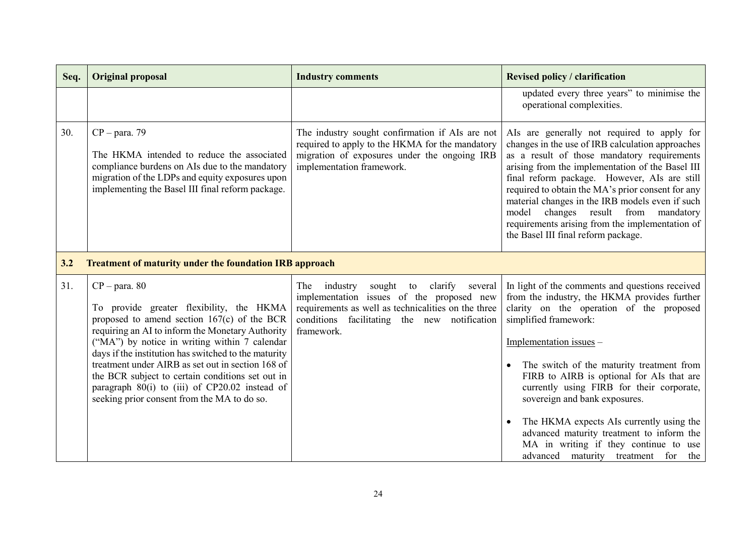| Seq. | <b>Original proposal</b>                                                                                                                                                                                                                                                                                                                                                                                                                                                            | <b>Industry comments</b>                                                                                                                                                                                    | <b>Revised policy / clarification</b>                                                                                                                                                                                                                                                                                                                                                                                                                                                                                                                            |
|------|-------------------------------------------------------------------------------------------------------------------------------------------------------------------------------------------------------------------------------------------------------------------------------------------------------------------------------------------------------------------------------------------------------------------------------------------------------------------------------------|-------------------------------------------------------------------------------------------------------------------------------------------------------------------------------------------------------------|------------------------------------------------------------------------------------------------------------------------------------------------------------------------------------------------------------------------------------------------------------------------------------------------------------------------------------------------------------------------------------------------------------------------------------------------------------------------------------------------------------------------------------------------------------------|
|      |                                                                                                                                                                                                                                                                                                                                                                                                                                                                                     |                                                                                                                                                                                                             | updated every three years" to minimise the<br>operational complexities.                                                                                                                                                                                                                                                                                                                                                                                                                                                                                          |
| 30.  | $CP - para. 79$<br>The HKMA intended to reduce the associated<br>compliance burdens on AIs due to the mandatory<br>migration of the LDPs and equity exposures upon<br>implementing the Basel III final reform package.                                                                                                                                                                                                                                                              | The industry sought confirmation if AIs are not<br>required to apply to the HKMA for the mandatory<br>migration of exposures under the ongoing IRB<br>implementation framework.                             | Als are generally not required to apply for<br>changes in the use of IRB calculation approaches<br>as a result of those mandatory requirements<br>arising from the implementation of the Basel III<br>final reform package. However, AIs are still<br>required to obtain the MA's prior consent for any<br>material changes in the IRB models even if such<br>model changes result from<br>mandatory<br>requirements arising from the implementation of<br>the Basel III final reform package.                                                                   |
| 3.2  | <b>Treatment of maturity under the foundation IRB approach</b>                                                                                                                                                                                                                                                                                                                                                                                                                      |                                                                                                                                                                                                             |                                                                                                                                                                                                                                                                                                                                                                                                                                                                                                                                                                  |
| 31.  | $CP - para. 80$<br>To provide greater flexibility, the HKMA<br>proposed to amend section $167(c)$ of the BCR<br>requiring an AI to inform the Monetary Authority<br>("MA") by notice in writing within 7 calendar<br>days if the institution has switched to the maturity<br>treatment under AIRB as set out in section 168 of<br>the BCR subject to certain conditions set out in<br>paragraph 80(i) to (iii) of CP20.02 instead of<br>seeking prior consent from the MA to do so. | The industry<br>sought to clarify several<br>implementation issues of the proposed new<br>requirements as well as technicalities on the three<br>conditions facilitating the new notification<br>framework. | In light of the comments and questions received<br>from the industry, the HKMA provides further<br>clarity on the operation of the proposed<br>simplified framework:<br>Implementation issues -<br>The switch of the maturity treatment from<br>$\bullet$<br>FIRB to AIRB is optional for AIs that are<br>currently using FIRB for their corporate,<br>sovereign and bank exposures.<br>The HKMA expects AIs currently using the<br>advanced maturity treatment to inform the<br>MA in writing if they continue to use<br>advanced maturity treatment for<br>the |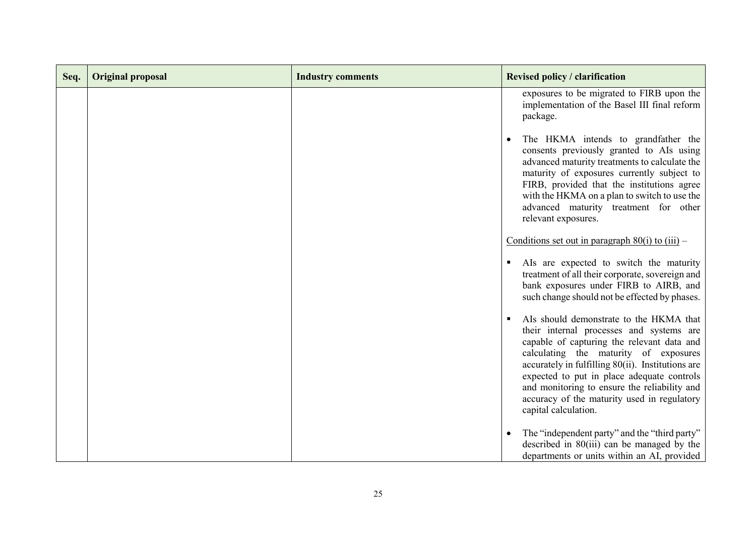| Seq. | <b>Original proposal</b> | <b>Industry comments</b> | <b>Revised policy / clarification</b>                                                                                                                                                                                                                                                                                                                                                                   |
|------|--------------------------|--------------------------|---------------------------------------------------------------------------------------------------------------------------------------------------------------------------------------------------------------------------------------------------------------------------------------------------------------------------------------------------------------------------------------------------------|
|      |                          |                          | exposures to be migrated to FIRB upon the<br>implementation of the Basel III final reform<br>package.                                                                                                                                                                                                                                                                                                   |
|      |                          |                          | The HKMA intends to grandfather the<br>consents previously granted to AIs using<br>advanced maturity treatments to calculate the<br>maturity of exposures currently subject to<br>FIRB, provided that the institutions agree<br>with the HKMA on a plan to switch to use the<br>advanced maturity treatment for other<br>relevant exposures.                                                            |
|      |                          |                          | Conditions set out in paragraph $80(i)$ to $(iii)$ –                                                                                                                                                                                                                                                                                                                                                    |
|      |                          |                          | Als are expected to switch the maturity<br>treatment of all their corporate, sovereign and<br>bank exposures under FIRB to AIRB, and<br>such change should not be effected by phases.                                                                                                                                                                                                                   |
|      |                          |                          | AIs should demonstrate to the HKMA that<br>their internal processes and systems are<br>capable of capturing the relevant data and<br>calculating the maturity of exposures<br>accurately in fulfilling $80(ii)$ . Institutions are<br>expected to put in place adequate controls<br>and monitoring to ensure the reliability and<br>accuracy of the maturity used in regulatory<br>capital calculation. |
|      |                          |                          | The "independent party" and the "third party"<br>described in $80(iii)$ can be managed by the<br>departments or units within an AI, provided                                                                                                                                                                                                                                                            |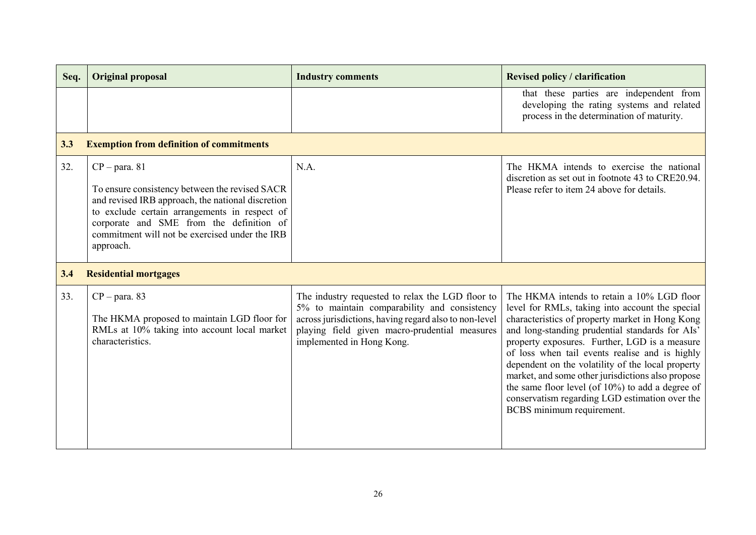| Seq. | <b>Original proposal</b>                                                                                                                                                                                                                                                           | <b>Industry comments</b>                                                                                                                                                                                                                | <b>Revised policy / clarification</b>                                                                                                                                                                                                                                                                                                                                                                                                                                                                                                               |
|------|------------------------------------------------------------------------------------------------------------------------------------------------------------------------------------------------------------------------------------------------------------------------------------|-----------------------------------------------------------------------------------------------------------------------------------------------------------------------------------------------------------------------------------------|-----------------------------------------------------------------------------------------------------------------------------------------------------------------------------------------------------------------------------------------------------------------------------------------------------------------------------------------------------------------------------------------------------------------------------------------------------------------------------------------------------------------------------------------------------|
|      |                                                                                                                                                                                                                                                                                    |                                                                                                                                                                                                                                         | that these parties are independent from<br>developing the rating systems and related<br>process in the determination of maturity.                                                                                                                                                                                                                                                                                                                                                                                                                   |
| 3.3  | <b>Exemption from definition of commitments</b>                                                                                                                                                                                                                                    |                                                                                                                                                                                                                                         |                                                                                                                                                                                                                                                                                                                                                                                                                                                                                                                                                     |
| 32.  | $CP - para. 81$<br>To ensure consistency between the revised SACR<br>and revised IRB approach, the national discretion<br>to exclude certain arrangements in respect of<br>corporate and SME from the definition of<br>commitment will not be exercised under the IRB<br>approach. | N.A.                                                                                                                                                                                                                                    | The HKMA intends to exercise the national<br>discretion as set out in footnote 43 to CRE20.94.<br>Please refer to item 24 above for details.                                                                                                                                                                                                                                                                                                                                                                                                        |
| 3.4  | <b>Residential mortgages</b>                                                                                                                                                                                                                                                       |                                                                                                                                                                                                                                         |                                                                                                                                                                                                                                                                                                                                                                                                                                                                                                                                                     |
| 33.  | $CP - para. 83$<br>The HKMA proposed to maintain LGD floor for<br>RMLs at 10% taking into account local market<br>characteristics.                                                                                                                                                 | The industry requested to relax the LGD floor to<br>5% to maintain comparability and consistency<br>across jurisdictions, having regard also to non-level<br>playing field given macro-prudential measures<br>implemented in Hong Kong. | The HKMA intends to retain a 10% LGD floor<br>level for RMLs, taking into account the special<br>characteristics of property market in Hong Kong<br>and long-standing prudential standards for AIs'<br>property exposures. Further, LGD is a measure<br>of loss when tail events realise and is highly<br>dependent on the volatility of the local property<br>market, and some other jurisdictions also propose<br>the same floor level (of 10%) to add a degree of<br>conservatism regarding LGD estimation over the<br>BCBS minimum requirement. |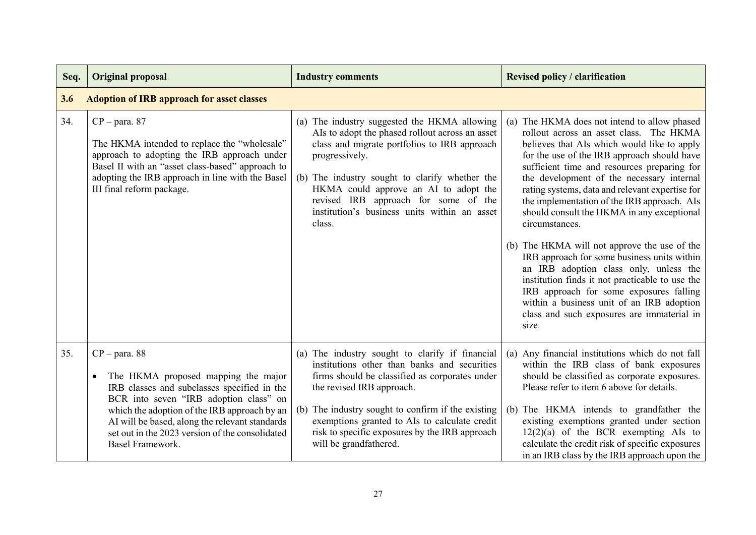| Seq. | <b>Original proposal</b>                                                                                                                                                                                                                                                                                                              | <b>Industry comments</b>                                                                                                                                                                                                                                                                                                                                          | <b>Revised policy / clarification</b>                                                                                                                                                                                                                                                                                                                                                                                                                                                                                                                                                                                                                                                                                                                                                             |  |  |
|------|---------------------------------------------------------------------------------------------------------------------------------------------------------------------------------------------------------------------------------------------------------------------------------------------------------------------------------------|-------------------------------------------------------------------------------------------------------------------------------------------------------------------------------------------------------------------------------------------------------------------------------------------------------------------------------------------------------------------|---------------------------------------------------------------------------------------------------------------------------------------------------------------------------------------------------------------------------------------------------------------------------------------------------------------------------------------------------------------------------------------------------------------------------------------------------------------------------------------------------------------------------------------------------------------------------------------------------------------------------------------------------------------------------------------------------------------------------------------------------------------------------------------------------|--|--|
| 3.6  | <b>Adoption of IRB approach for asset classes</b>                                                                                                                                                                                                                                                                                     |                                                                                                                                                                                                                                                                                                                                                                   |                                                                                                                                                                                                                                                                                                                                                                                                                                                                                                                                                                                                                                                                                                                                                                                                   |  |  |
| 34.  | $CP - para. 87$<br>The HKMA intended to replace the "wholesale"<br>approach to adopting the IRB approach under<br>Basel II with an "asset class-based" approach to<br>adopting the IRB approach in line with the Basel<br>III final reform package.                                                                                   | (a) The industry suggested the HKMA allowing<br>AIs to adopt the phased rollout across an asset<br>class and migrate portfolios to IRB approach<br>progressively.<br>(b) The industry sought to clarify whether the<br>HKMA could approve an AI to adopt the<br>revised IRB approach for some of the<br>institution's business units within an asset<br>class.    | The HKMA does not intend to allow phased<br>(a)<br>rollout across an asset class. The HKMA<br>believes that AIs which would like to apply<br>for the use of the IRB approach should have<br>sufficient time and resources preparing for<br>the development of the necessary internal<br>rating systems, data and relevant expertise for<br>the implementation of the IRB approach. AIs<br>should consult the HKMA in any exceptional<br>circumstances.<br>(b) The HKMA will not approve the use of the<br>IRB approach for some business units within<br>an IRB adoption class only, unless the<br>institution finds it not practicable to use the<br>IRB approach for some exposures falling<br>within a business unit of an IRB adoption<br>class and such exposures are immaterial in<br>size. |  |  |
| 35.  | $CP - para. 88$<br>The HKMA proposed mapping the major<br>$\bullet$<br>IRB classes and subclasses specified in the<br>BCR into seven "IRB adoption class" on<br>which the adoption of the IRB approach by an<br>AI will be based, along the relevant standards<br>set out in the 2023 version of the consolidated<br>Basel Framework. | (a) The industry sought to clarify if financial<br>institutions other than banks and securities<br>firms should be classified as corporates under<br>the revised IRB approach.<br>(b) The industry sought to confirm if the existing<br>exemptions granted to AIs to calculate credit<br>risk to specific exposures by the IRB approach<br>will be grandfathered. | (a) Any financial institutions which do not fall<br>within the IRB class of bank exposures<br>should be classified as corporate exposures.<br>Please refer to item 6 above for details.<br>(b) The HKMA intends to grandfather the<br>existing exemptions granted under section<br>$12(2)(a)$ of the BCR exempting AIs to<br>calculate the credit risk of specific exposures<br>in an IRB class by the IRB approach upon the                                                                                                                                                                                                                                                                                                                                                                      |  |  |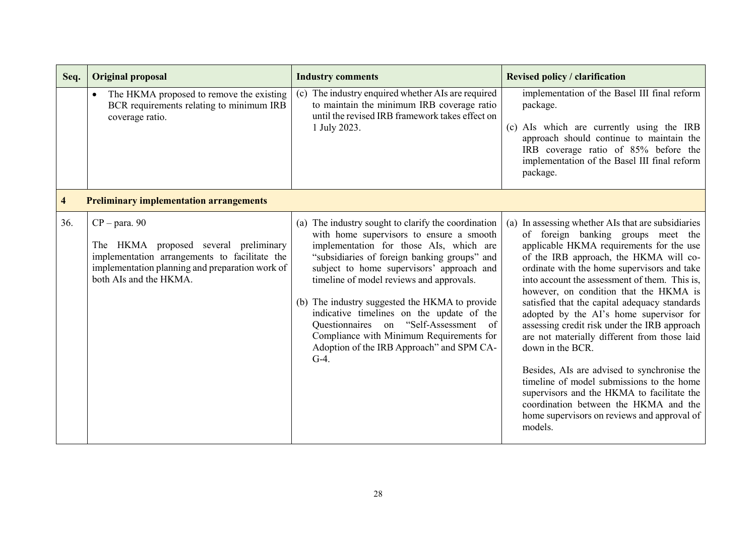| Seq.                    | <b>Original proposal</b>                                                                                                                                                               | <b>Industry comments</b>                                                                                                                                                                                                                                                                                                                                                                                                                                                                                                            | <b>Revised policy / clarification</b>                                                                                                                                                                                                                                                                                                                                                                                                                                                                                                                                                                                                                                                                                                                                                 |
|-------------------------|----------------------------------------------------------------------------------------------------------------------------------------------------------------------------------------|-------------------------------------------------------------------------------------------------------------------------------------------------------------------------------------------------------------------------------------------------------------------------------------------------------------------------------------------------------------------------------------------------------------------------------------------------------------------------------------------------------------------------------------|---------------------------------------------------------------------------------------------------------------------------------------------------------------------------------------------------------------------------------------------------------------------------------------------------------------------------------------------------------------------------------------------------------------------------------------------------------------------------------------------------------------------------------------------------------------------------------------------------------------------------------------------------------------------------------------------------------------------------------------------------------------------------------------|
|                         | The HKMA proposed to remove the existing<br>BCR requirements relating to minimum IRB<br>coverage ratio.                                                                                | (c) The industry enquired whether AIs are required<br>to maintain the minimum IRB coverage ratio<br>until the revised IRB framework takes effect on<br>1 July 2023.                                                                                                                                                                                                                                                                                                                                                                 | implementation of the Basel III final reform<br>package.<br>(c) AIs which are currently using the IRB<br>approach should continue to maintain the<br>IRB coverage ratio of 85% before the<br>implementation of the Basel III final reform<br>package.                                                                                                                                                                                                                                                                                                                                                                                                                                                                                                                                 |
| $\overline{\mathbf{4}}$ | <b>Preliminary implementation arrangements</b>                                                                                                                                         |                                                                                                                                                                                                                                                                                                                                                                                                                                                                                                                                     |                                                                                                                                                                                                                                                                                                                                                                                                                                                                                                                                                                                                                                                                                                                                                                                       |
| 36.                     | $CP - para. 90$<br>The HKMA proposed several preliminary<br>implementation arrangements to facilitate the<br>implementation planning and preparation work of<br>both AIs and the HKMA. | (a) The industry sought to clarify the coordination<br>with home supervisors to ensure a smooth<br>implementation for those AIs, which are<br>"subsidiaries of foreign banking groups" and<br>subject to home supervisors' approach and<br>timeline of model reviews and approvals.<br>(b) The industry suggested the HKMA to provide<br>indicative timelines on the update of the<br>Questionnaires on "Self-Assessment"<br>of<br>Compliance with Minimum Requirements for<br>Adoption of the IRB Approach" and SPM CA-<br>$G-4$ . | (a) In assessing whether AIs that are subsidiaries<br>of foreign banking groups meet the<br>applicable HKMA requirements for the use<br>of the IRB approach, the HKMA will co-<br>ordinate with the home supervisors and take<br>into account the assessment of them. This is,<br>however, on condition that the HKMA is<br>satisfied that the capital adequacy standards<br>adopted by the AI's home supervisor for<br>assessing credit risk under the IRB approach<br>are not materially different from those laid<br>down in the BCR.<br>Besides, AIs are advised to synchronise the<br>timeline of model submissions to the home<br>supervisors and the HKMA to facilitate the<br>coordination between the HKMA and the<br>home supervisors on reviews and approval of<br>models. |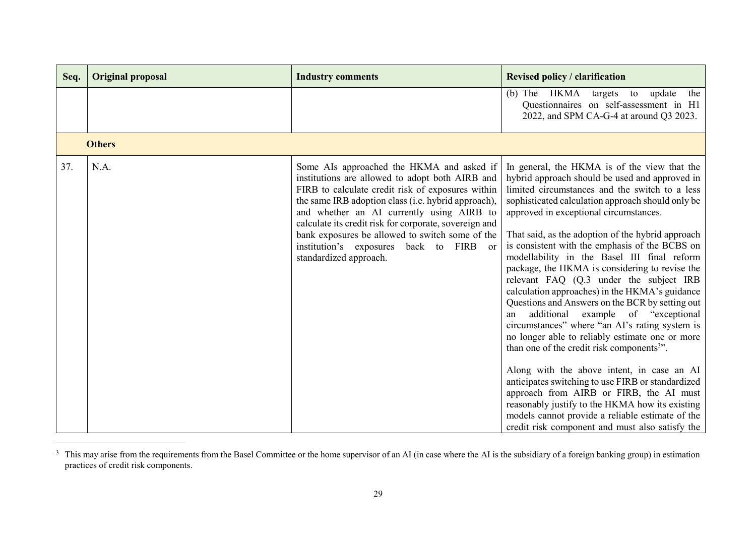| Seq. | <b>Original proposal</b> | <b>Industry comments</b>                                                                                                                                                                                                                                                                                                                                                                                                                | <b>Revised policy / clarification</b>                                                                                                                                                                                                                                                                                                                                                                                                                                                                                                                                                                                                                                                                                                                                                                                                                                                                                                                                                                                                                                                                                      |
|------|--------------------------|-----------------------------------------------------------------------------------------------------------------------------------------------------------------------------------------------------------------------------------------------------------------------------------------------------------------------------------------------------------------------------------------------------------------------------------------|----------------------------------------------------------------------------------------------------------------------------------------------------------------------------------------------------------------------------------------------------------------------------------------------------------------------------------------------------------------------------------------------------------------------------------------------------------------------------------------------------------------------------------------------------------------------------------------------------------------------------------------------------------------------------------------------------------------------------------------------------------------------------------------------------------------------------------------------------------------------------------------------------------------------------------------------------------------------------------------------------------------------------------------------------------------------------------------------------------------------------|
|      |                          |                                                                                                                                                                                                                                                                                                                                                                                                                                         | (b) The HKMA targets to<br>update<br>the<br>Questionnaires on self-assessment in H1<br>2022, and SPM CA-G-4 at around Q3 2023.                                                                                                                                                                                                                                                                                                                                                                                                                                                                                                                                                                                                                                                                                                                                                                                                                                                                                                                                                                                             |
|      | <b>Others</b>            |                                                                                                                                                                                                                                                                                                                                                                                                                                         |                                                                                                                                                                                                                                                                                                                                                                                                                                                                                                                                                                                                                                                                                                                                                                                                                                                                                                                                                                                                                                                                                                                            |
| 37.  | N.A.                     | Some AIs approached the HKMA and asked if<br>institutions are allowed to adopt both AIRB and<br>FIRB to calculate credit risk of exposures within<br>the same IRB adoption class (i.e. hybrid approach),<br>and whether an AI currently using AIRB to<br>calculate its credit risk for corporate, sovereign and<br>bank exposures be allowed to switch some of the<br>institution's exposures back to FIRB or<br>standardized approach. | In general, the HKMA is of the view that the<br>hybrid approach should be used and approved in<br>limited circumstances and the switch to a less<br>sophisticated calculation approach should only be<br>approved in exceptional circumstances.<br>That said, as the adoption of the hybrid approach<br>is consistent with the emphasis of the BCBS on<br>modellability in the Basel III final reform<br>package, the HKMA is considering to revise the<br>relevant FAQ (Q.3 under the subject IRB<br>calculation approaches) in the HKMA's guidance<br>Questions and Answers on the BCR by setting out<br>additional example of "exceptional<br>an<br>circumstances" where "an AI's rating system is<br>no longer able to reliably estimate one or more<br>than one of the credit risk components <sup>3</sup> ".<br>Along with the above intent, in case an AI<br>anticipates switching to use FIRB or standardized<br>approach from AIRB or FIRB, the AI must<br>reasonably justify to the HKMA how its existing<br>models cannot provide a reliable estimate of the<br>credit risk component and must also satisfy the |

<sup>&</sup>lt;sup>3</sup> This may arise from the requirements from the Basel Committee or the home supervisor of an AI (in case where the AI is the subsidiary of a foreign banking group) in estimation practices of credit risk components.

l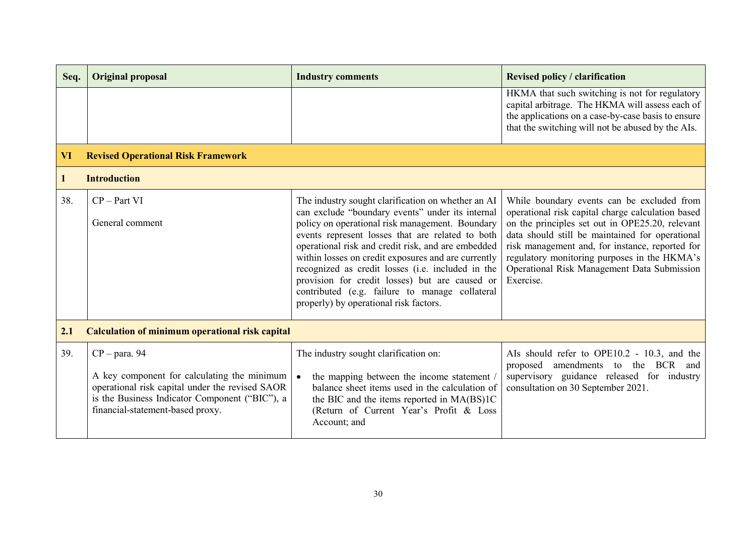| Seq.         | <b>Original proposal</b>                                                                                                                                                                                | <b>Industry comments</b>                                                                                                                                                                                                                                                                                                                                                                                                                                                                                                      | <b>Revised policy / clarification</b>                                                                                                                                                                                                                                                                                                                                |
|--------------|---------------------------------------------------------------------------------------------------------------------------------------------------------------------------------------------------------|-------------------------------------------------------------------------------------------------------------------------------------------------------------------------------------------------------------------------------------------------------------------------------------------------------------------------------------------------------------------------------------------------------------------------------------------------------------------------------------------------------------------------------|----------------------------------------------------------------------------------------------------------------------------------------------------------------------------------------------------------------------------------------------------------------------------------------------------------------------------------------------------------------------|
|              |                                                                                                                                                                                                         |                                                                                                                                                                                                                                                                                                                                                                                                                                                                                                                               | HKMA that such switching is not for regulatory<br>capital arbitrage. The HKMA will assess each of<br>the applications on a case-by-case basis to ensure<br>that the switching will not be abused by the AIs.                                                                                                                                                         |
| VI           | <b>Revised Operational Risk Framework</b>                                                                                                                                                               |                                                                                                                                                                                                                                                                                                                                                                                                                                                                                                                               |                                                                                                                                                                                                                                                                                                                                                                      |
| $\mathbf{1}$ | <b>Introduction</b>                                                                                                                                                                                     |                                                                                                                                                                                                                                                                                                                                                                                                                                                                                                                               |                                                                                                                                                                                                                                                                                                                                                                      |
| 38.          | $CP - Part VI$<br>General comment                                                                                                                                                                       | The industry sought clarification on whether an AI<br>can exclude "boundary events" under its internal<br>policy on operational risk management. Boundary<br>events represent losses that are related to both<br>operational risk and credit risk, and are embedded<br>within losses on credit exposures and are currently<br>recognized as credit losses (i.e. included in the<br>provision for credit losses) but are caused or<br>contributed (e.g. failure to manage collateral<br>properly) by operational risk factors. | While boundary events can be excluded from<br>operational risk capital charge calculation based<br>on the principles set out in OPE25.20, relevant<br>data should still be maintained for operational<br>risk management and, for instance, reported for<br>regulatory monitoring purposes in the HKMA's<br>Operational Risk Management Data Submission<br>Exercise. |
| 2.1          | <b>Calculation of minimum operational risk capital</b>                                                                                                                                                  |                                                                                                                                                                                                                                                                                                                                                                                                                                                                                                                               |                                                                                                                                                                                                                                                                                                                                                                      |
| 39.          | $CP - para. 94$<br>A key component for calculating the minimum<br>operational risk capital under the revised SAOR<br>is the Business Indicator Component ("BIC"), a<br>financial-statement-based proxy. | The industry sought clarification on:<br>the mapping between the income statement /<br>$\bullet$<br>balance sheet items used in the calculation of<br>the BIC and the items reported in MA(BS)1C<br>(Return of Current Year's Profit & Loss<br>Account; and                                                                                                                                                                                                                                                                   | Als should refer to OPE10.2 - 10.3, and the<br>proposed<br>amendments<br>to the BCR<br>and<br>supervisory guidance released for industry<br>consultation on 30 September 2021.                                                                                                                                                                                       |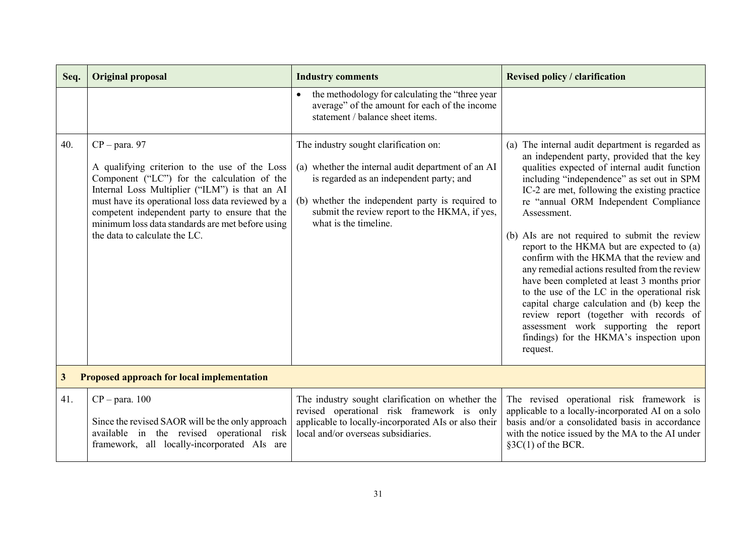| Seq.         | <b>Original proposal</b>                                                                                                                                                                                                                                                                                                                                      | <b>Industry comments</b>                                                                                                                                                                                                                                              | <b>Revised policy / clarification</b>                                                                                                                                                                                                                                                                                                                                                                                                                                                                                                                                                                                                                                                                                                                                                          |  |  |
|--------------|---------------------------------------------------------------------------------------------------------------------------------------------------------------------------------------------------------------------------------------------------------------------------------------------------------------------------------------------------------------|-----------------------------------------------------------------------------------------------------------------------------------------------------------------------------------------------------------------------------------------------------------------------|------------------------------------------------------------------------------------------------------------------------------------------------------------------------------------------------------------------------------------------------------------------------------------------------------------------------------------------------------------------------------------------------------------------------------------------------------------------------------------------------------------------------------------------------------------------------------------------------------------------------------------------------------------------------------------------------------------------------------------------------------------------------------------------------|--|--|
|              |                                                                                                                                                                                                                                                                                                                                                               | the methodology for calculating the "three year<br>$\bullet$<br>average" of the amount for each of the income<br>statement / balance sheet items.                                                                                                                     |                                                                                                                                                                                                                                                                                                                                                                                                                                                                                                                                                                                                                                                                                                                                                                                                |  |  |
| 40.          | $CP - para. 97$<br>A qualifying criterion to the use of the Loss<br>Component ("LC") for the calculation of the<br>Internal Loss Multiplier ("ILM") is that an AI<br>must have its operational loss data reviewed by a<br>competent independent party to ensure that the<br>minimum loss data standards are met before using<br>the data to calculate the LC. | The industry sought clarification on:<br>(a) whether the internal audit department of an AI<br>is regarded as an independent party; and<br>(b) whether the independent party is required to<br>submit the review report to the HKMA, if yes,<br>what is the timeline. | (a) The internal audit department is regarded as<br>an independent party, provided that the key<br>qualities expected of internal audit function<br>including "independence" as set out in SPM<br>IC-2 are met, following the existing practice<br>re "annual ORM Independent Compliance<br>Assessment.<br>(b) AIs are not required to submit the review<br>report to the HKMA but are expected to (a)<br>confirm with the HKMA that the review and<br>any remedial actions resulted from the review<br>have been completed at least 3 months prior<br>to the use of the LC in the operational risk<br>capital charge calculation and (b) keep the<br>review report (together with records of<br>assessment work supporting the report<br>findings) for the HKMA's inspection upon<br>request. |  |  |
| $\mathbf{3}$ | Proposed approach for local implementation                                                                                                                                                                                                                                                                                                                    |                                                                                                                                                                                                                                                                       |                                                                                                                                                                                                                                                                                                                                                                                                                                                                                                                                                                                                                                                                                                                                                                                                |  |  |
| 41.          | $CP - para. 100$<br>Since the revised SAOR will be the only approach<br>available in the revised operational risk<br>framework, all locally-incorporated AIs are                                                                                                                                                                                              | The industry sought clarification on whether the<br>revised operational risk framework is only<br>applicable to locally-incorporated AIs or also their<br>local and/or overseas subsidiaries.                                                                         | The revised operational risk framework is<br>applicable to a locally-incorporated AI on a solo<br>basis and/or a consolidated basis in accordance<br>with the notice issued by the MA to the AI under<br>$\S3C(1)$ of the BCR.                                                                                                                                                                                                                                                                                                                                                                                                                                                                                                                                                                 |  |  |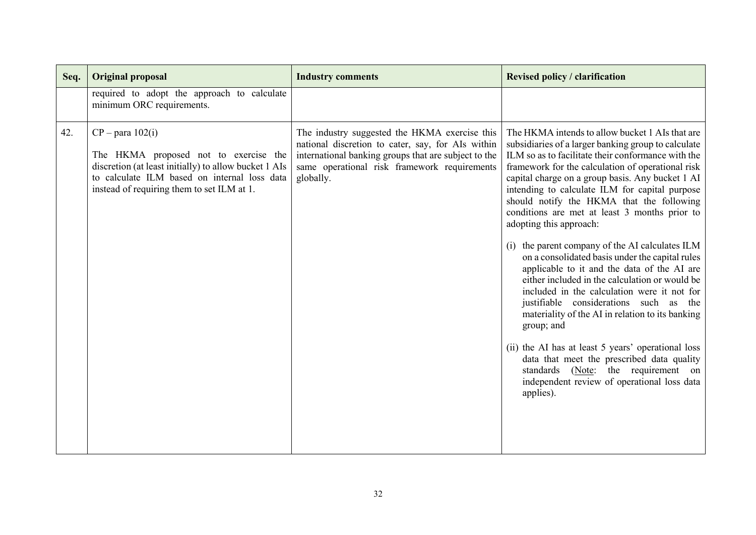| Seq. | <b>Original proposal</b>                                                                                                                                                                                           | <b>Industry comments</b>                                                                                                                                                                                                | <b>Revised policy / clarification</b>                                                                                                                                                                                                                                                                                                                                                                                                                                                                                                                                                                                                                                                                                                                                                                                                                                                                                                                                                                                 |
|------|--------------------------------------------------------------------------------------------------------------------------------------------------------------------------------------------------------------------|-------------------------------------------------------------------------------------------------------------------------------------------------------------------------------------------------------------------------|-----------------------------------------------------------------------------------------------------------------------------------------------------------------------------------------------------------------------------------------------------------------------------------------------------------------------------------------------------------------------------------------------------------------------------------------------------------------------------------------------------------------------------------------------------------------------------------------------------------------------------------------------------------------------------------------------------------------------------------------------------------------------------------------------------------------------------------------------------------------------------------------------------------------------------------------------------------------------------------------------------------------------|
|      | required to adopt the approach to calculate<br>minimum ORC requirements.                                                                                                                                           |                                                                                                                                                                                                                         |                                                                                                                                                                                                                                                                                                                                                                                                                                                                                                                                                                                                                                                                                                                                                                                                                                                                                                                                                                                                                       |
| 42.  | $CP$ – para 102(i)<br>The HKMA proposed not to exercise the<br>discretion (at least initially) to allow bucket 1 AIs<br>to calculate ILM based on internal loss data<br>instead of requiring them to set ILM at 1. | The industry suggested the HKMA exercise this<br>national discretion to cater, say, for AIs within<br>international banking groups that are subject to the<br>same operational risk framework requirements<br>globally. | The HKMA intends to allow bucket 1 AIs that are<br>subsidiaries of a larger banking group to calculate<br>ILM so as to facilitate their conformance with the<br>framework for the calculation of operational risk<br>capital charge on a group basis. Any bucket 1 AI<br>intending to calculate ILM for capital purpose<br>should notify the HKMA that the following<br>conditions are met at least 3 months prior to<br>adopting this approach:<br>the parent company of the AI calculates ILM<br>on a consolidated basis under the capital rules<br>applicable to it and the data of the AI are<br>either included in the calculation or would be<br>included in the calculation were it not for<br>justifiable considerations such as the<br>materiality of the AI in relation to its banking<br>group; and<br>(ii) the AI has at least 5 years' operational loss<br>data that meet the prescribed data quality<br>standards (Note: the requirement on<br>independent review of operational loss data<br>applies). |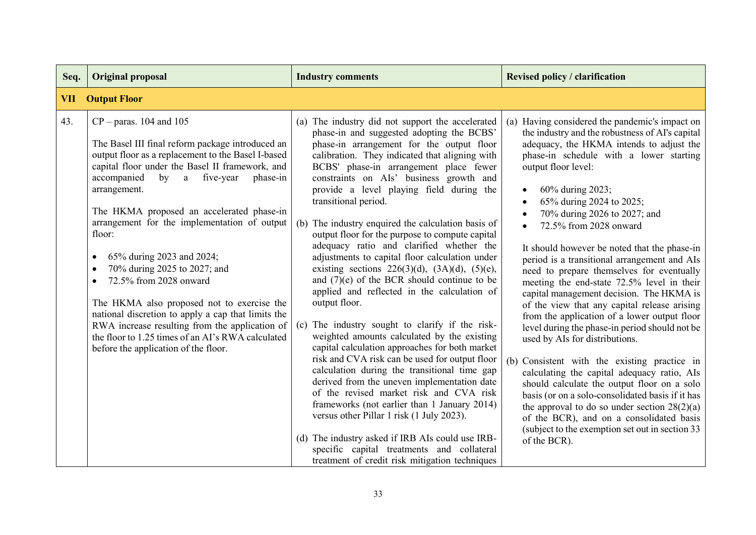| Seq.       | <b>Original proposal</b>                                                                                                                                                                                                                                                                                                                                                                                                                                                                                                                                                                                                                                                                                                                                 | <b>Industry comments</b>                                                                                                                                                                                                                                                                                                                                                                                                                                                                                                                                                                                                                                                                                                                                                                                                                                                                                                                                                                                                                                                                                                                                                                                                                                                                                                                    | <b>Revised policy / clarification</b>                                                                                                                                                                                                                                                                                                                                                                                                                                                                                                                                                                                                                                                                                                                                                                                                                                                                                                                                                                                                                                                                                    |
|------------|----------------------------------------------------------------------------------------------------------------------------------------------------------------------------------------------------------------------------------------------------------------------------------------------------------------------------------------------------------------------------------------------------------------------------------------------------------------------------------------------------------------------------------------------------------------------------------------------------------------------------------------------------------------------------------------------------------------------------------------------------------|---------------------------------------------------------------------------------------------------------------------------------------------------------------------------------------------------------------------------------------------------------------------------------------------------------------------------------------------------------------------------------------------------------------------------------------------------------------------------------------------------------------------------------------------------------------------------------------------------------------------------------------------------------------------------------------------------------------------------------------------------------------------------------------------------------------------------------------------------------------------------------------------------------------------------------------------------------------------------------------------------------------------------------------------------------------------------------------------------------------------------------------------------------------------------------------------------------------------------------------------------------------------------------------------------------------------------------------------|--------------------------------------------------------------------------------------------------------------------------------------------------------------------------------------------------------------------------------------------------------------------------------------------------------------------------------------------------------------------------------------------------------------------------------------------------------------------------------------------------------------------------------------------------------------------------------------------------------------------------------------------------------------------------------------------------------------------------------------------------------------------------------------------------------------------------------------------------------------------------------------------------------------------------------------------------------------------------------------------------------------------------------------------------------------------------------------------------------------------------|
| <b>VII</b> | <b>Output Floor</b>                                                                                                                                                                                                                                                                                                                                                                                                                                                                                                                                                                                                                                                                                                                                      |                                                                                                                                                                                                                                                                                                                                                                                                                                                                                                                                                                                                                                                                                                                                                                                                                                                                                                                                                                                                                                                                                                                                                                                                                                                                                                                                             |                                                                                                                                                                                                                                                                                                                                                                                                                                                                                                                                                                                                                                                                                                                                                                                                                                                                                                                                                                                                                                                                                                                          |
| 43.        | $CP - \text{paras.}$ 104 and 105<br>The Basel III final reform package introduced an<br>output floor as a replacement to the Basel I-based<br>capital floor under the Basel II framework, and<br>accompanied<br>by<br>five-year<br>phase-in<br>a<br>arrangement.<br>The HKMA proposed an accelerated phase-in<br>arrangement for the implementation of output<br>floor:<br>65% during 2023 and 2024;<br>$\bullet$<br>70% during 2025 to 2027; and<br>$\bullet$<br>72.5% from 2028 onward<br>$\bullet$<br>The HKMA also proposed not to exercise the<br>national discretion to apply a cap that limits the<br>RWA increase resulting from the application of<br>the floor to 1.25 times of an AI's RWA calculated<br>before the application of the floor. | (a) The industry did not support the accelerated<br>phase-in and suggested adopting the BCBS'<br>phase-in arrangement for the output floor<br>calibration. They indicated that aligning with<br>BCBS' phase-in arrangement place fewer<br>constraints on AIs' business growth and<br>provide a level playing field during the<br>transitional period.<br>(b) The industry enquired the calculation basis of<br>output floor for the purpose to compute capital<br>adequacy ratio and clarified whether the<br>adjustments to capital floor calculation under<br>existing sections $226(3)(d)$ , $(3A)(d)$ , $(5)(e)$ ,<br>and $(7)(e)$ of the BCR should continue to be<br>applied and reflected in the calculation of<br>output floor.<br>The industry sought to clarify if the risk-<br>(c)<br>weighted amounts calculated by the existing<br>capital calculation approaches for both market<br>risk and CVA risk can be used for output floor<br>calculation during the transitional time gap<br>derived from the uneven implementation date<br>of the revised market risk and CVA risk<br>frameworks (not earlier than 1 January 2014)<br>versus other Pillar 1 risk (1 July 2023).<br>(d) The industry asked if IRB AIs could use IRB-<br>specific capital treatments and collateral<br>treatment of credit risk mitigation techniques | (a) Having considered the pandemic's impact on<br>the industry and the robustness of AI's capital<br>adequacy, the HKMA intends to adjust the<br>phase-in schedule with a lower starting<br>output floor level:<br>60% during 2023;<br>65% during 2024 to 2025;<br>70% during 2026 to 2027; and<br>72.5% from 2028 onward<br>It should however be noted that the phase-in<br>period is a transitional arrangement and AIs<br>need to prepare themselves for eventually<br>meeting the end-state 72.5% level in their<br>capital management decision. The HKMA is<br>of the view that any capital release arising<br>from the application of a lower output floor<br>level during the phase-in period should not be<br>used by AIs for distributions.<br>(b) Consistent with the existing practice in<br>calculating the capital adequacy ratio, AIs<br>should calculate the output floor on a solo<br>basis (or on a solo-consolidated basis if it has<br>the approval to do so under section $28(2)(a)$<br>of the BCR), and on a consolidated basis<br>(subject to the exemption set out in section 33)<br>of the BCR). |